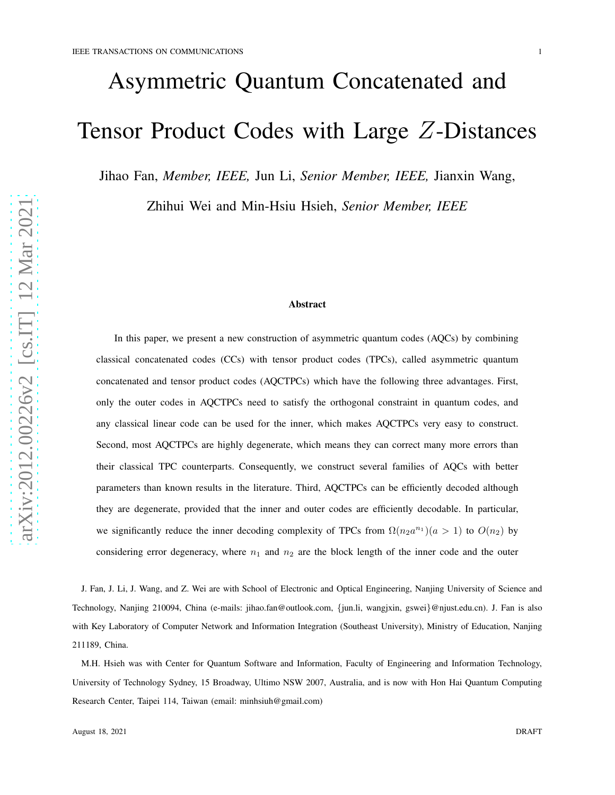# Asymmetric Quantum Concatenated and Tensor Product Codes with Large Z-Distances

Jihao Fan, *Member, IEEE,* Jun Li, *Senior Member, IEEE,* Jianxin Wang,

Zhihui Wei and Min-Hsiu Hsieh, *Senior Member, IEEE*

## Abstract

In this paper, we present a new construction of asymmetric quantum codes (AQCs) by combining classical concatenated codes (CCs) with tensor product codes (TPCs), called asymmetric quantum concatenated and tensor product codes (AQCTPCs) which have the following three advantages. First, only the outer codes in AQCTPCs need to satisfy the orthogonal constraint in quantum codes, and any classical linear code can be used for the inner, which makes AQCTPCs very easy to construct. Second, most AQCTPCs are highly degenerate, which means they can correct many more errors than their classical TPC counterparts. Consequently, we construct several families of AQCs with better parameters than known results in the literature. Third, AQCTPCs can be efficiently decoded although they are degenerate, provided that the inner and outer codes are efficiently decodable. In particular, we significantly reduce the inner decoding complexity of TPCs from  $\Omega(n_2 a^{n_1})$  ( $a > 1$ ) to  $O(n_2)$  by considering error degeneracy, where  $n_1$  and  $n_2$  are the block length of the inner code and the outer

J. Fan, J. Li, J. Wang, and Z. Wei are with School of Electronic and Optical Engineering, Nanjing University of Science and Technology, Nanjing 210094, China (e-mails: jihao.fan@outlook.com, {jun.li, wangjxin, gswei }@njust.edu.cn). J. Fan is also with Key Laboratory of Computer Network and Information Integration (Southeast University), Ministry of Education, Nanjing 211189, China.

M.H. Hsieh was with Center for Quantum Software and Information, Faculty of Engineering and Information Technology, University of Technology Sydney, 15 Broadway, Ultimo NSW 2007, Australia, and is now with Hon Hai Quantum Computing Research Center, Taipei 114, Taiwan (email: minhsiuh@gmail.com)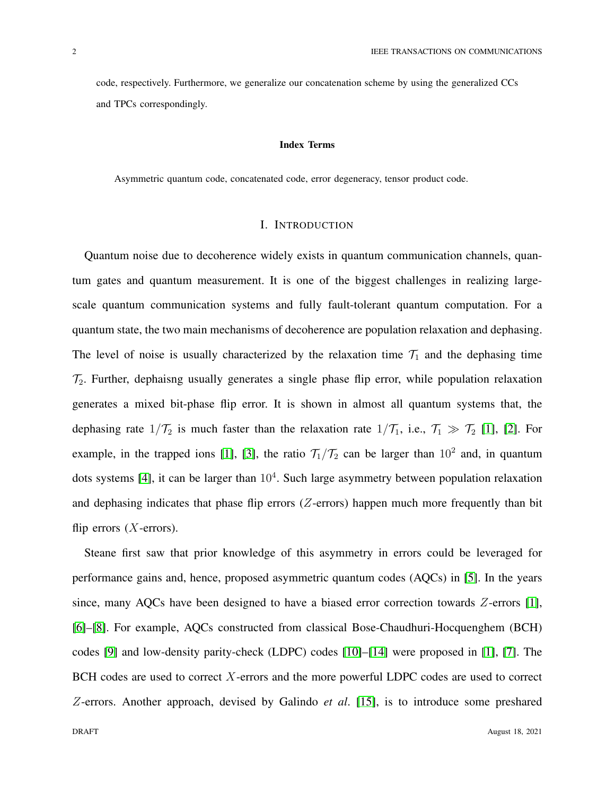code, respectively. Furthermore, we generalize our concatenation scheme by using the generalized CCs and TPCs correspondingly.

#### Index Terms

Asymmetric quantum code, concatenated code, error degeneracy, tensor product code.

## I. INTRODUCTION

Quantum noise due to decoherence widely exists in quantum communication channels, quantum gates and quantum measurement. It is one of the biggest challenges in realizing largescale quantum communication systems and fully fault-tolerant quantum computation. For a quantum state, the two main mechanisms of decoherence are population relaxation and dephasing. The level of noise is usually characterized by the relaxation time  $\mathcal{T}_1$  and the dephasing time  $\mathcal{T}_2$ . Further, dephaisng usually generates a single phase flip error, while population relaxation generates a mixed bit-phase flip error. It is shown in almost all quantum systems that, the dephasing rate  $1/\mathcal{T}_2$  is much faster than the relaxation rate  $1/\mathcal{T}_1$ , i.e.,  $\mathcal{T}_1 \gg \mathcal{T}_2$  [\[1\]](#page-31-0), [\[2\]](#page-32-0). For example, in the trapped ions [\[1\]](#page-31-0), [\[3\]](#page-32-1), the ratio  $\mathcal{T}_1/\mathcal{T}_2$  can be larger than  $10^2$  and, in quantum dots systems [\[4\]](#page-32-2), it can be larger than  $10<sup>4</sup>$ . Such large asymmetry between population relaxation and dephasing indicates that phase flip errors  $(Z$ -errors) happen much more frequently than bit flip errors  $(X$ -errors).

Steane first saw that prior knowledge of this asymmetry in errors could be leveraged for performance gains and, hence, proposed asymmetric quantum codes (AQCs) in [\[5\]](#page-32-3). In the years since, many AQCs have been designed to have a biased error correction towards  $Z$ -errors [\[1\]](#page-31-0), [\[6\]](#page-32-4)–[\[8\]](#page-32-5). For example, AQCs constructed from classical Bose-Chaudhuri-Hocquenghem (BCH) codes [\[9\]](#page-32-6) and low-density parity-check (LDPC) codes [\[10\]](#page-32-7)–[\[14\]](#page-32-8) were proposed in [\[1\]](#page-31-0), [\[7\]](#page-32-9). The BCH codes are used to correct X-errors and the more powerful LDPC codes are used to correct Z-errors. Another approach, devised by Galindo *et al*. [\[15\]](#page-32-10), is to introduce some preshared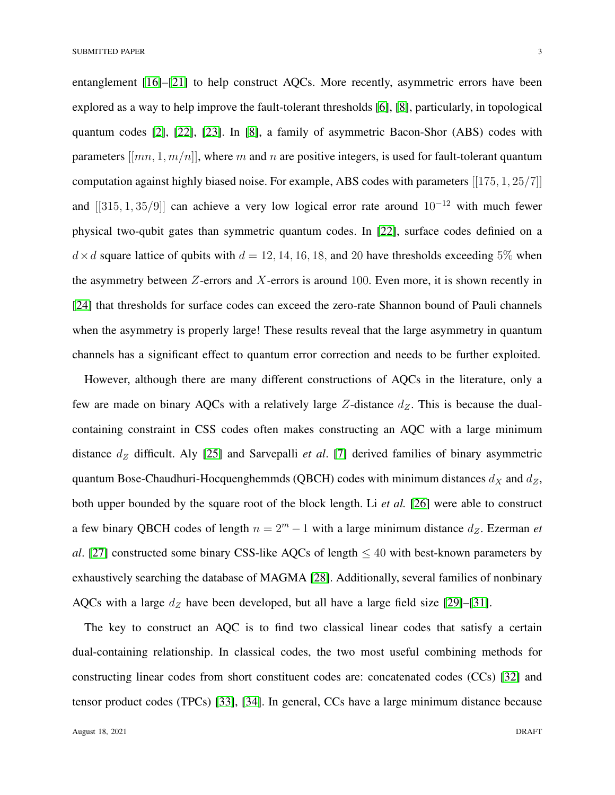entanglement [\[16\]](#page-32-11)–[\[21\]](#page-33-0) to help construct AQCs. More recently, asymmetric errors have been explored as a way to help improve the fault-tolerant thresholds [\[6\]](#page-32-4), [\[8\]](#page-32-5), particularly, in topological quantum codes [\[2\]](#page-32-0), [\[22\]](#page-33-1), [\[23\]](#page-33-2). In [\[8\]](#page-32-5), a family of asymmetric Bacon-Shor (ABS) codes with parameters  $[[mn, 1, m/n]]$ , where m and n are positive integers, is used for fault-tolerant quantum computation against highly biased noise. For example, ABS codes with parameters [[175, 1, 25/7]] and  $[[315, 1, 35/9]]$  can achieve a very low logical error rate around  $10^{-12}$  with much fewer physical two-qubit gates than symmetric quantum codes. In [\[22\]](#page-33-1), surface codes definied on a  $d \times d$  square lattice of qubits with  $d = 12, 14, 16, 18,$  and 20 have thresholds exceeding 5% when the asymmetry between  $Z$ -errors and  $X$ -errors is around 100. Even more, it is shown recently in [\[24\]](#page-33-3) that thresholds for surface codes can exceed the zero-rate Shannon bound of Pauli channels when the asymmetry is properly large! These results reveal that the large asymmetry in quantum channels has a significant effect to quantum error correction and needs to be further exploited.

However, although there are many different constructions of AQCs in the literature, only a few are made on binary AQCs with a relatively large  $Z$ -distance  $d_Z$ . This is because the dualcontaining constraint in CSS codes often makes constructing an AQC with a large minimum distance  $d_Z$  difficult. Aly [\[25\]](#page-33-4) and Sarvepalli *et al.* [\[7\]](#page-32-9) derived families of binary asymmetric quantum Bose-Chaudhuri-Hocquenghemmds (QBCH) codes with minimum distances  $d_X$  and  $d_Z$ , both upper bounded by the square root of the block length. Li *et al.* [\[26\]](#page-33-5) were able to construct a few binary QBCH codes of length  $n = 2<sup>m</sup> - 1$  with a large minimum distance  $d<sub>Z</sub>$ . Ezerman *et al*. [\[27\]](#page-33-6) constructed some binary CSS-like AQCs of length  $\leq 40$  with best-known parameters by exhaustively searching the database of MAGMA [\[28\]](#page-33-7). Additionally, several families of nonbinary AQCs with a large  $d_Z$  have been developed, but all have a large field size [\[29\]](#page-33-8)–[\[31\]](#page-33-9).

The key to construct an AQC is to find two classical linear codes that satisfy a certain dual-containing relationship. In classical codes, the two most useful combining methods for constructing linear codes from short constituent codes are: concatenated codes (CCs) [\[32\]](#page-33-10) and tensor product codes (TPCs) [\[33\]](#page-33-11), [\[34\]](#page-33-12). In general, CCs have a large minimum distance because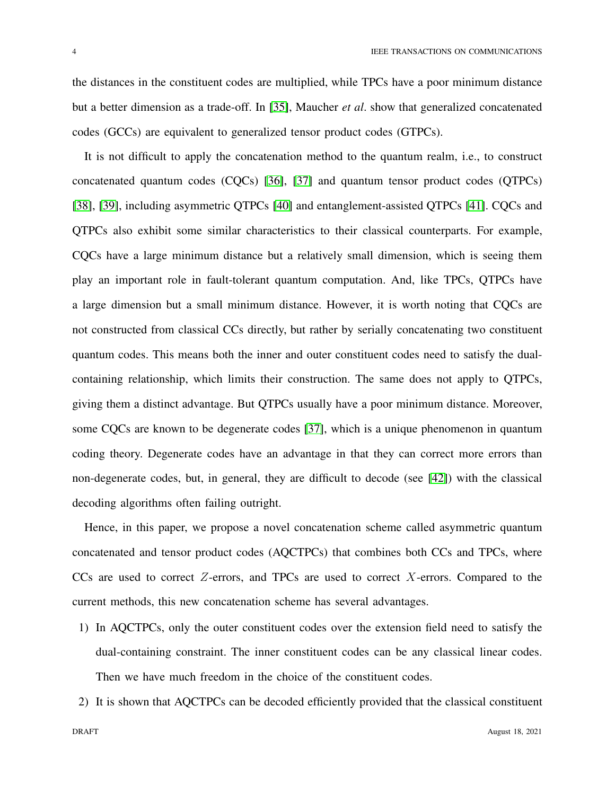the distances in the constituent codes are multiplied, while TPCs have a poor minimum distance but a better dimension as a trade-off. In [\[35\]](#page-33-13), Maucher *et al*. show that generalized concatenated codes (GCCs) are equivalent to generalized tensor product codes (GTPCs).

It is not difficult to apply the concatenation method to the quantum realm, i.e., to construct concatenated quantum codes (CQCs) [\[36\]](#page-33-14), [\[37\]](#page-34-0) and quantum tensor product codes (QTPCs) [\[38\]](#page-34-1), [\[39\]](#page-34-2), including asymmetric QTPCs [\[40\]](#page-34-3) and entanglement-assisted QTPCs [\[41\]](#page-34-4). CQCs and QTPCs also exhibit some similar characteristics to their classical counterparts. For example, CQCs have a large minimum distance but a relatively small dimension, which is seeing them play an important role in fault-tolerant quantum computation. And, like TPCs, QTPCs have a large dimension but a small minimum distance. However, it is worth noting that CQCs are not constructed from classical CCs directly, but rather by serially concatenating two constituent quantum codes. This means both the inner and outer constituent codes need to satisfy the dualcontaining relationship, which limits their construction. The same does not apply to QTPCs, giving them a distinct advantage. But QTPCs usually have a poor minimum distance. Moreover, some CQCs are known to be degenerate codes [\[37\]](#page-34-0), which is a unique phenomenon in quantum coding theory. Degenerate codes have an advantage in that they can correct more errors than non-degenerate codes, but, in general, they are difficult to decode (see [\[42\]](#page-34-5)) with the classical decoding algorithms often failing outright.

Hence, in this paper, we propose a novel concatenation scheme called asymmetric quantum concatenated and tensor product codes (AQCTPCs) that combines both CCs and TPCs, where CCs are used to correct  $Z$ -errors, and TPCs are used to correct  $X$ -errors. Compared to the current methods, this new concatenation scheme has several advantages.

- 1) In AQCTPCs, only the outer constituent codes over the extension field need to satisfy the dual-containing constraint. The inner constituent codes can be any classical linear codes. Then we have much freedom in the choice of the constituent codes.
- 2) It is shown that AQCTPCs can be decoded efficiently provided that the classical constituent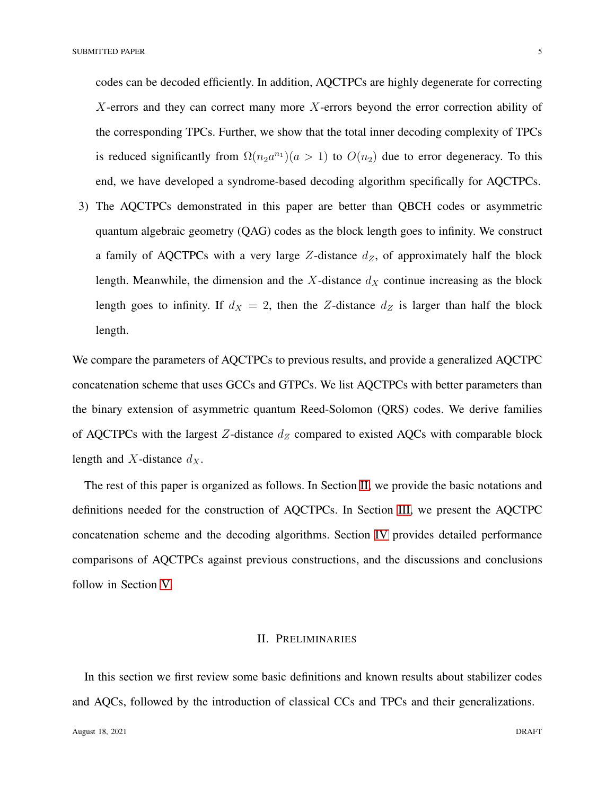codes can be decoded efficiently. In addition, AQCTPCs are highly degenerate for correcting  $X$ -errors and they can correct many more  $X$ -errors beyond the error correction ability of the corresponding TPCs. Further, we show that the total inner decoding complexity of TPCs is reduced significantly from  $\Omega(n_2a^{n_1})(a>1)$  to  $O(n_2)$  due to error degeneracy. To this end, we have developed a syndrome-based decoding algorithm specifically for AQCTPCs.

3) The AQCTPCs demonstrated in this paper are better than QBCH codes or asymmetric quantum algebraic geometry (QAG) codes as the block length goes to infinity. We construct a family of AQCTPCs with a very large Z-distance  $d_Z$ , of approximately half the block length. Meanwhile, the dimension and the  $X$ -distance  $d_X$  continue increasing as the block length goes to infinity. If  $d_X = 2$ , then the Z-distance  $d_Z$  is larger than half the block length.

We compare the parameters of AQCTPCs to previous results, and provide a generalized AQCTPC concatenation scheme that uses GCCs and GTPCs. We list AQCTPCs with better parameters than the binary extension of asymmetric quantum Reed-Solomon (QRS) codes. We derive families of AQCTPCs with the largest Z-distance  $d_Z$  compared to existed AQCs with comparable block length and X-distance  $d_X$ .

The rest of this paper is organized as follows. In Section [II,](#page-4-0) we provide the basic notations and definitions needed for the construction of AQCTPCs. In Section [III,](#page-11-0) we present the AQCTPC concatenation scheme and the decoding algorithms. Section [IV](#page-21-0) provides detailed performance comparisons of AQCTPCs against previous constructions, and the discussions and conclusions follow in Section [V.](#page-30-0)

## II. PRELIMINARIES

<span id="page-4-0"></span>In this section we first review some basic definitions and known results about stabilizer codes and AQCs, followed by the introduction of classical CCs and TPCs and their generalizations.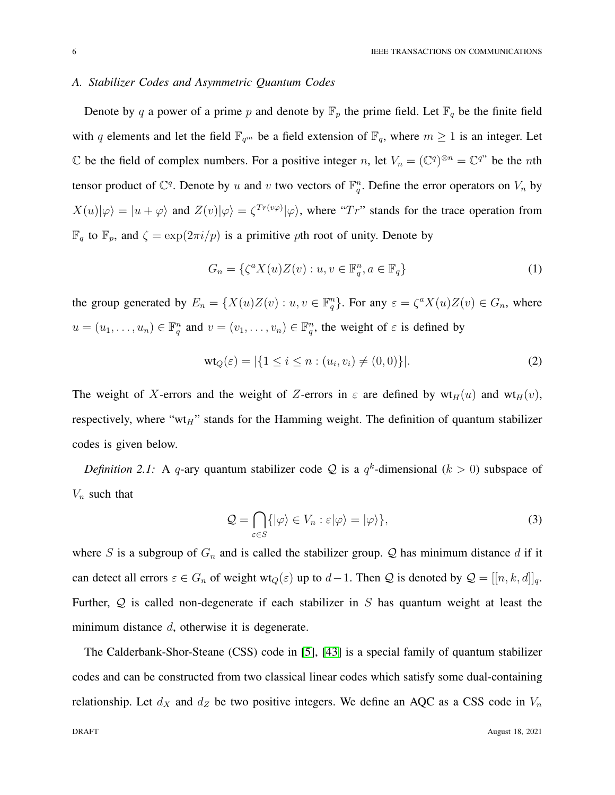## *A. Stabilizer Codes and Asymmetric Quantum Codes*

Denote by q a power of a prime p and denote by  $\mathbb{F}_p$  the prime field. Let  $\mathbb{F}_q$  be the finite field with q elements and let the field  $\mathbb{F}_{q^m}$  be a field extension of  $\mathbb{F}_q$ , where  $m \geq 1$  is an integer. Let  $\mathbb C$  be the field of complex numbers. For a positive integer n, let  $V_n = (\mathbb C^q)^{\otimes n} = \mathbb C^{q^n}$  be the nth tensor product of  $\mathbb{C}^q$ . Denote by u and v two vectors of  $\mathbb{F}_q^n$ . Define the error operators on  $V_n$  by  $X(u)|\varphi\rangle = |u + \varphi\rangle$  and  $Z(v)|\varphi\rangle = \zeta^{Tr(v\varphi)}|\varphi\rangle$ , where "Tr" stands for the trace operation from  $\mathbb{F}_q$  to  $\mathbb{F}_p$ , and  $\zeta = \exp(2\pi i/p)$  is a primitive pth root of unity. Denote by

$$
G_n = \{ \zeta^a X(u) Z(v) : u, v \in \mathbb{F}_q^n, a \in \mathbb{F}_q \} \tag{1}
$$

the group generated by  $E_n = \{X(u)Z(v) : u, v \in \mathbb{F}_q^n\}$ . For any  $\varepsilon = \zeta^a X(u)Z(v) \in G_n$ , where  $u = (u_1, \dots, u_n) \in \mathbb{F}_q^n$  and  $v = (v_1, \dots, v_n) \in \mathbb{F}_q^n$ , the weight of  $\varepsilon$  is defined by

$$
\text{wt}_Q(\varepsilon) = |\{1 \le i \le n : (u_i, v_i) \ne (0, 0)\}|. \tag{2}
$$

The weight of X-errors and the weight of Z-errors in  $\varepsilon$  are defined by  $wt_H(u)$  and  $wt_H(v)$ , respectively, where " $wt_H$ " stands for the Hamming weight. The definition of quantum stabilizer codes is given below.

*Definition 2.1:* A q-ary quantum stabilizer code Q is a  $q^k$ -dimensional  $(k > 0)$  subspace of  $V_n$  such that

$$
\mathcal{Q} = \bigcap_{\varepsilon \in S} \{ |\varphi\rangle \in V_n : \varepsilon | \varphi \rangle = |\varphi\rangle \},\tag{3}
$$

where S is a subgroup of  $G_n$  and is called the stabilizer group. Q has minimum distance d if it can detect all errors  $\varepsilon \in G_n$  of weight wt<sub>Q</sub>( $\varepsilon$ ) up to  $d-1$ . Then Q is denoted by  $\mathcal{Q} = [[n, k, d]]_q$ . Further,  $Q$  is called non-degenerate if each stabilizer in  $S$  has quantum weight at least the minimum distance d, otherwise it is degenerate.

The Calderbank-Shor-Steane (CSS) code in [\[5\]](#page-32-3), [\[43\]](#page-34-6) is a special family of quantum stabilizer codes and can be constructed from two classical linear codes which satisfy some dual-containing relationship. Let  $d_X$  and  $d_Z$  be two positive integers. We define an AQC as a CSS code in  $V_n$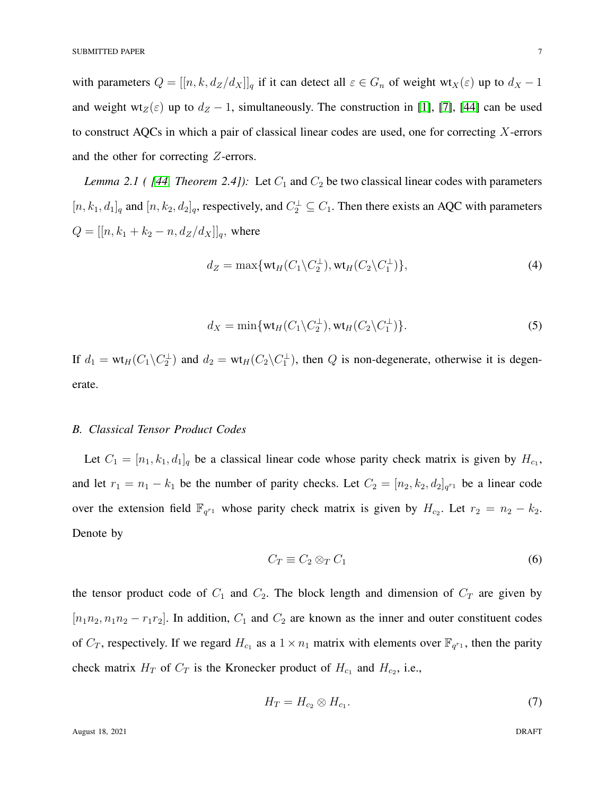with parameters  $Q = [[n, k, d_Z/d_X]]_q$  if it can detect all  $\varepsilon \in G_n$  of weight wt<sub>X</sub>( $\varepsilon$ ) up to  $d_X - 1$ and weight wt<sub>Z</sub>( $\varepsilon$ ) up to  $d_Z - 1$ , simultaneously. The construction in [\[1\]](#page-31-0), [\[7\]](#page-32-9), [\[44\]](#page-34-7) can be used to construct AQCs in which a pair of classical linear codes are used, one for correcting  $X$ -errors and the other for correcting Z-errors.

<span id="page-6-0"></span>*Lemma 2.1 ( [\[44,](#page-34-7) Theorem 2.4]):* Let  $C_1$  and  $C_2$  be two classical linear codes with parameters  $[n, k_1, d_1]_q$  and  $[n, k_2, d_2]_q$ , respectively, and  $C_2^{\perp} \subseteq C_1$ . Then there exists an AQC with parameters  $Q = [[n, k_1 + k_2 - n, d_Z/d_X]]_q$ , where

$$
d_Z = \max\{\text{wt}_H(C_1\backslash C_2^{\perp}), \text{wt}_H(C_2\backslash C_1^{\perp})\},\tag{4}
$$

$$
d_X = \min\{\text{wt}_H(C_1\backslash C_2^{\perp}), \text{wt}_H(C_2\backslash C_1^{\perp})\}.
$$
\n(5)

If  $d_1 = \text{wt}_H(C_1\backslash C_2^{\perp})$  and  $d_2 = \text{wt}_H(C_2\backslash C_1^{\perp})$ , then Q is non-degenerate, otherwise it is degenerate.

## *B. Classical Tensor Product Codes*

Let  $C_1 = [n_1, k_1, d_1]_q$  be a classical linear code whose parity check matrix is given by  $H_{c_1}$ , and let  $r_1 = n_1 - k_1$  be the number of parity checks. Let  $C_2 = [n_2, k_2, d_2]_{q^{r_1}}$  be a linear code over the extension field  $\mathbb{F}_{q^{r_1}}$  whose parity check matrix is given by  $H_{c_2}$ . Let  $r_2 = n_2 - k_2$ . Denote by

$$
C_T \equiv C_2 \otimes_T C_1 \tag{6}
$$

the tensor product code of  $C_1$  and  $C_2$ . The block length and dimension of  $C_T$  are given by  $[n_1n_2, n_1n_2 - r_1r_2]$ . In addition,  $C_1$  and  $C_2$  are known as the inner and outer constituent codes of  $C_T$ , respectively. If we regard  $H_{c_1}$  as a  $1 \times n_1$  matrix with elements over  $\mathbb{F}_{q^{r_1}}$ , then the parity check matrix  $H_T$  of  $C_T$  is the Kronecker product of  $H_{c_1}$  and  $H_{c_2}$ , i.e.,

$$
H_T = H_{c_2} \otimes H_{c_1}.\tag{7}
$$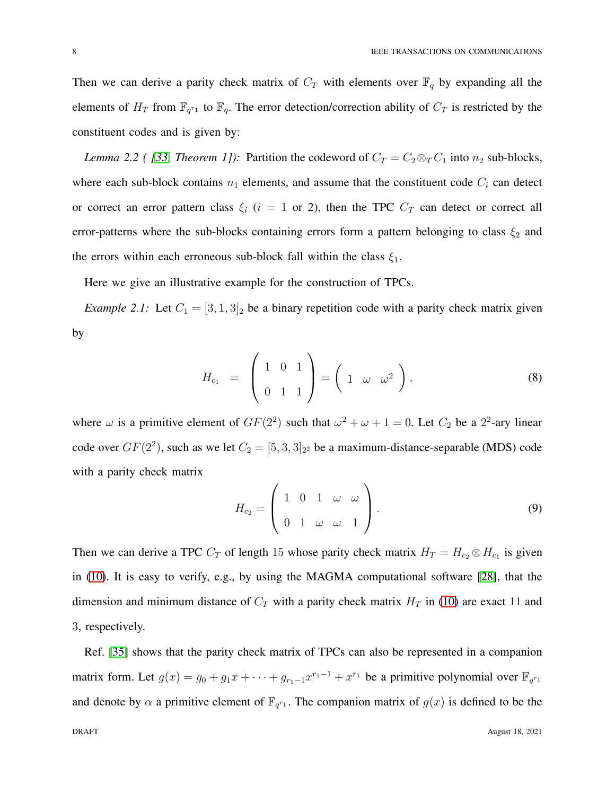Then we can derive a parity check matrix of  $C_T$  with elements over  $\mathbb{F}_q$  by expanding all the elements of  $H_T$  from  $\mathbb{F}_{q^{r_1}}$  to  $\mathbb{F}_q$ . The error detection/correction ability of  $C_T$  is restricted by the constituent codes and is given by:

*Lemma 2.2 ( [\[33,](#page-33-11) Theorem 1]):* Partition the codeword of  $C_T = C_2 \otimes_T C_1$  into  $n_2$  sub-blocks, where each sub-block contains  $n_1$  elements, and assume that the constituent code  $C_i$  can detect or correct an error pattern class  $\xi_i$  (i = 1 or 2), then the TPC  $C_T$  can detect or correct all error-patterns where the sub-blocks containing errors form a pattern belonging to class  $\xi_2$  and the errors within each erroneous sub-block fall within the class  $\xi_1$ .

Here we give an illustrative example for the construction of TPCs.

*Example 2.1:* Let  $C_1 = [3, 1, 3]_2$  be a binary repetition code with a parity check matrix given by

$$
H_{c_1} = \begin{pmatrix} 1 & 0 & 1 \\ 0 & 1 & 1 \end{pmatrix} = \begin{pmatrix} 1 & \omega & \omega^2 \end{pmatrix}, \tag{8}
$$

where  $\omega$  is a primitive element of  $GF(2^2)$  such that  $\omega^2 + \omega + 1 = 0$ . Let  $C_2$  be a  $2^2$ -ary linear code over  $GF(2^2)$ , such as we let  $C_2 = [5, 3, 3]_{2^2}$  be a maximum-distance-separable (MDS) code with a parity check matrix

$$
H_{c_2} = \left(\begin{array}{cccc} 1 & 0 & 1 & \omega & \omega \\ 0 & 1 & \omega & \omega & 1 \end{array}\right).
$$
 (9)

Then we can derive a TPC  $C_T$  of length 15 whose parity check matrix  $H_T = H_{c_2} \otimes H_{c_1}$  is given in [\(10\)](#page-8-0). It is easy to verify, e.g., by using the MAGMA computational software [\[28\]](#page-33-7), that the dimension and minimum distance of  $C_T$  with a parity check matrix  $H_T$  in [\(10\)](#page-8-0) are exact 11 and 3, respectively.

Ref. [\[35\]](#page-33-13) shows that the parity check matrix of TPCs can also be represented in a companion matrix form. Let  $g(x) = g_0 + g_1 x + \cdots + g_{r_1-1} x^{r_1-1} + x^{r_1}$  be a primitive polynomial over  $\mathbb{F}_{q^{r_1}}$ and denote by  $\alpha$  a primitive element of  $\mathbb{F}_{q^{r_1}}$ . The companion matrix of  $g(x)$  is defined to be the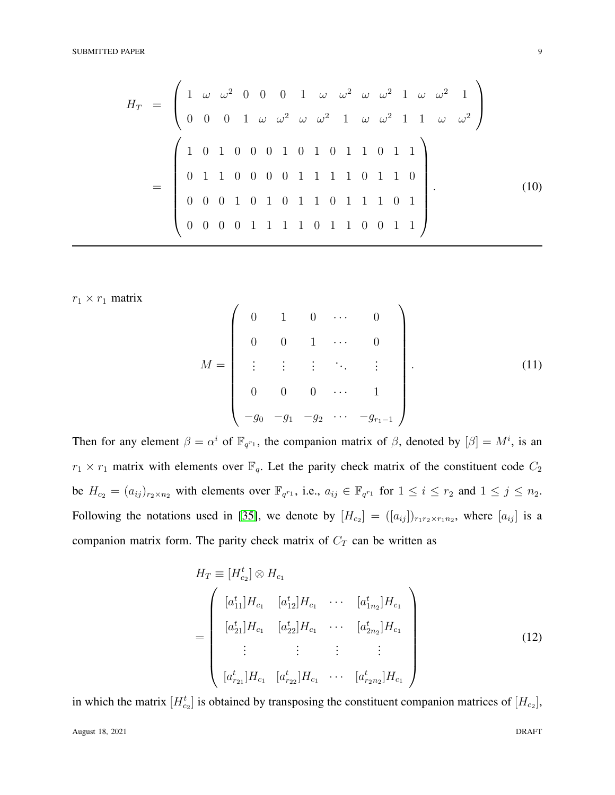#### SUBMITTED PAPER 9

<span id="page-8-0"></span>
$$
H_T = \begin{pmatrix} 1 & \omega & \omega^2 & 0 & 0 & 0 & 1 & \omega & \omega^2 & \omega & \omega^2 & 1 & \omega & \omega^2 & 1 \\ 0 & 0 & 0 & 1 & \omega & \omega^2 & \omega & \omega^2 & 1 & \omega & \omega^2 & 1 & 1 & \omega & \omega^2 \\ 1 & 0 & 1 & 0 & 0 & 0 & 1 & 0 & 1 & 0 & 1 & 1 & 0 & 1 & 1 \\ 0 & 1 & 1 & 0 & 0 & 0 & 0 & 1 & 1 & 1 & 1 & 0 & 1 & 1 & 0 \\ 0 & 0 & 0 & 1 & 0 & 1 & 0 & 1 & 1 & 1 & 0 & 1 & 1 & 0 & 1 \\ 0 & 0 & 0 & 0 & 1 & 1 & 1 & 1 & 0 & 1 & 1 & 0 & 0 & 1 & 1 \end{pmatrix} .
$$
 (10)

 $r_1 \times r_1$  matrix

$$
M = \begin{pmatrix} 0 & 1 & 0 & \cdots & 0 \\ 0 & 0 & 1 & \cdots & 0 \\ \vdots & \vdots & \vdots & \ddots & \vdots \\ 0 & 0 & 0 & \cdots & 1 \\ -g_0 & -g_1 & -g_2 & \cdots & -g_{r_1-1} \end{pmatrix} .
$$
 (11)

Then for any element  $\beta = \alpha^i$  of  $\mathbb{F}_{q^{r_1}}$ , the companion matrix of  $\beta$ , denoted by  $[\beta] = M^i$ , is an  $r_1 \times r_1$  matrix with elements over  $\mathbb{F}_q$ . Let the parity check matrix of the constituent code  $C_2$ be  $H_{c_2} = (a_{ij})_{r_2 \times n_2}$  with elements over  $\mathbb{F}_{q^{r_1}}$ , i.e.,  $a_{ij} \in \mathbb{F}_{q^{r_1}}$  for  $1 \le i \le r_2$  and  $1 \le j \le n_2$ . Following the notations used in [\[35\]](#page-33-13), we denote by  $[H_{c_2}] = ([a_{ij}])_{r_1 r_2 \times r_1 n_2}$ , where  $[a_{ij}]$  is a companion matrix form. The parity check matrix of  $C_T$  can be written as

<span id="page-8-1"></span>
$$
H_T \equiv [H_{c_2}^t] \otimes H_{c_1}
$$
\n
$$
= \begin{pmatrix} [a_{11}^t]H_{c_1} & [a_{12}^t]H_{c_1} & \cdots & [a_{1n_2}^t]H_{c_1} \\ [a_{21}^t]H_{c_1} & [a_{22}^t]H_{c_1} & \cdots & [a_{2n_2}^t]H_{c_1} \\ \vdots & \vdots & \vdots & \vdots \\ [a_{n_21}^t]H_{c_1} & [a_{n_22}^t]H_{c_1} & \cdots & [a_{n_2n_2}^t]H_{c_1} \end{pmatrix}
$$
\n(12)

in which the matrix  $[H_{c_2}^t]$  is obtained by transposing the constituent companion matrices of  $[H_{c_2}]$ ,

August 18, 2021 DRAFT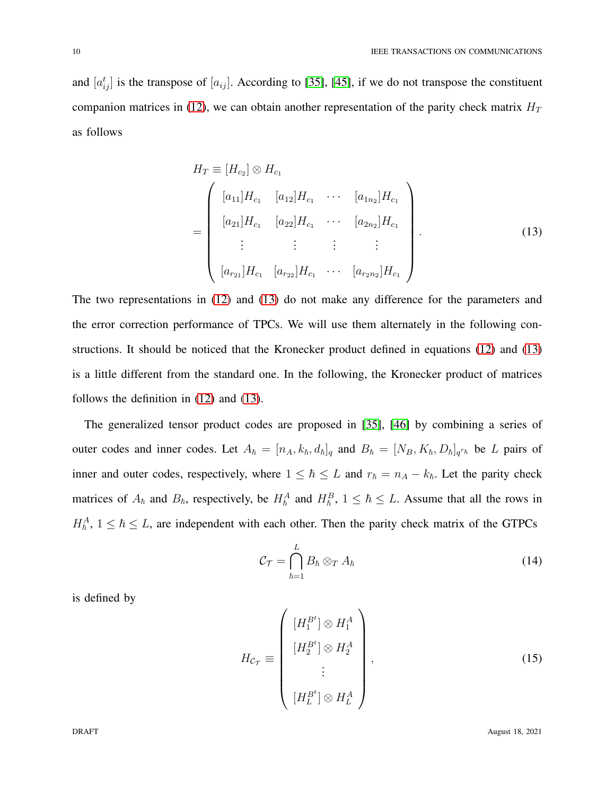and  $[a_{ij}^t]$  is the transpose of  $[a_{ij}]$ . According to [\[35\]](#page-33-13), [\[45\]](#page-34-8), if we do not transpose the constituent companion matrices in [\(12\)](#page-8-1), we can obtain another representation of the parity check matrix  $H_T$ as follows

<span id="page-9-0"></span>
$$
H_T \equiv [H_{c_2}] \otimes H_{c_1}
$$
\n
$$
= \begin{pmatrix} [a_{11}]H_{c_1} & [a_{12}]H_{c_1} & \cdots & [a_{1n_2}]H_{c_1} \\ [a_{21}]H_{c_1} & [a_{22}]H_{c_1} & \cdots & [a_{2n_2}]H_{c_1} \\ \vdots & \vdots & \vdots & \vdots \\ [a_{r_{21}}]H_{c_1} & [a_{r_{22}}]H_{c_1} & \cdots & [a_{r_{2n_2}}]H_{c_1} \end{pmatrix} .
$$
\n(13)

The two representations in [\(12\)](#page-8-1) and [\(13\)](#page-9-0) do not make any difference for the parameters and the error correction performance of TPCs. We will use them alternately in the following constructions. It should be noticed that the Kronecker product defined in equations [\(12\)](#page-8-1) and [\(13\)](#page-9-0) is a little different from the standard one. In the following, the Kronecker product of matrices follows the definition in [\(12\)](#page-8-1) and [\(13\)](#page-9-0).

The generalized tensor product codes are proposed in [\[35\]](#page-33-13), [\[46\]](#page-34-9) by combining a series of outer codes and inner codes. Let  $A_{\hbar} = [n_A, k_{\hbar}, d_{\hbar}]_q$  and  $B_{\hbar} = [N_B, K_{\hbar}, D_{\hbar}]_{q^{r_{\hbar}}}$  be L pairs of inner and outer codes, respectively, where  $1 \leq \hbar \leq L$  and  $r_{\hbar} = n_A - k_{\hbar}$ . Let the parity check matrices of  $A_{\hbar}$  and  $B_{\hbar}$ , respectively, be  $H_{\hbar}^A$  and  $H_{\hbar}^B$ ,  $1 \leq \hbar \leq L$ . Assume that all the rows in  $H_{\hbar}^A$ ,  $1 \leq \hbar \leq L$ , are independent with each other. Then the parity check matrix of the GTPCs

$$
\mathcal{C}_{\mathcal{T}} = \bigcap_{\hbar=1}^{L} B_{\hbar} \otimes_{T} A_{\hbar}
$$
 (14)

is defined by

$$
H_{\mathcal{C}_{\mathcal{T}}} \equiv \begin{pmatrix} [H_1^{B^t}] \otimes H_1^A \\ [H_2^{B^t}] \otimes H_2^A \\ \vdots \\ [H_L^{B^t}] \otimes H_L^A \end{pmatrix},
$$
(15)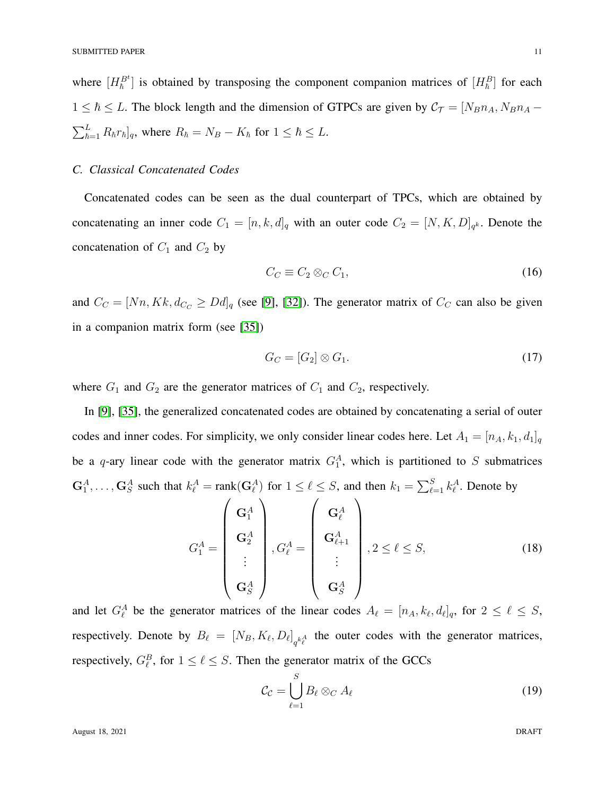where  $[H_h^{B^t}]$  is obtained by transposing the component companion matrices of  $[H_h^B]$  for each  $1 \leq \hbar \leq L$ . The block length and the dimension of GTPCs are given by  $C_{\tau} = [N_B n_A, N_B n_A \sum_{\hbar=1}^{L} R_{\hbar} r_{\hbar}]_q$ , where  $R_{\hbar} = N_B - K_{\hbar}$  for  $1 \leq \hbar \leq L$ .

## *C. Classical Concatenated Codes*

Concatenated codes can be seen as the dual counterpart of TPCs, which are obtained by concatenating an inner code  $C_1 = [n, k, d]_q$  with an outer code  $C_2 = [N, K, D]_{q^k}$ . Denote the concatenation of  $C_1$  and  $C_2$  by

$$
C_C \equiv C_2 \otimes_C C_1,\tag{16}
$$

and  $C_C = [Nn, Kk, d_{C_C} \geq Dd]_q$  (see [\[9\]](#page-32-6), [\[32\]](#page-33-10)). The generator matrix of  $C_C$  can also be given in a companion matrix form (see [\[35\]](#page-33-13))

$$
G_C = [G_2] \otimes G_1. \tag{17}
$$

where  $G_1$  and  $G_2$  are the generator matrices of  $C_1$  and  $C_2$ , respectively.

In [\[9\]](#page-32-6), [\[35\]](#page-33-13), the generalized concatenated codes are obtained by concatenating a serial of outer codes and inner codes. For simplicity, we only consider linear codes here. Let  $A_1 = [n_A, k_1, d_1]_q$ be a q-ary linear code with the generator matrix  $G_1^A$ , which is partitioned to S submatrices  $G_1^A, \ldots, G_S^A$  such that  $k_{\ell}^A = \text{rank}(G_{\ell}^A)$  for  $1 \leq \ell \leq S$ , and then  $k_1 = \sum_{\ell=1}^S k_{\ell}^A$ . Denote by

$$
G_1^A = \begin{pmatrix} \mathbf{G}_1^A \\ \mathbf{G}_2^A \\ \vdots \\ \mathbf{G}_S^A \end{pmatrix}, G_\ell^A = \begin{pmatrix} \mathbf{G}_\ell^A \\ \mathbf{G}_{\ell+1}^A \\ \vdots \\ \mathbf{G}_S^A \end{pmatrix}, 2 \leq \ell \leq S,
$$
 (18)

and let  $G_{\ell}^{A}$  be the generator matrices of the linear codes  $A_{\ell} = [n_A, k_{\ell}, d_{\ell}]_q$ , for  $2 \leq \ell \leq S$ , respectively. Denote by  $B_{\ell} = [N_B, K_{\ell}, D_{\ell}]_{q^{k_{\ell}^A}}$  the outer codes with the generator matrices, respectively,  $G_{\ell}^{B}$ , for  $1 \leq \ell \leq S$ . Then the generator matrix of the GCCs

$$
\mathcal{C}_{\mathcal{C}} = \bigcup_{\ell=1}^{S} B_{\ell} \otimes_{C} A_{\ell} \tag{19}
$$

<span id="page-10-0"></span>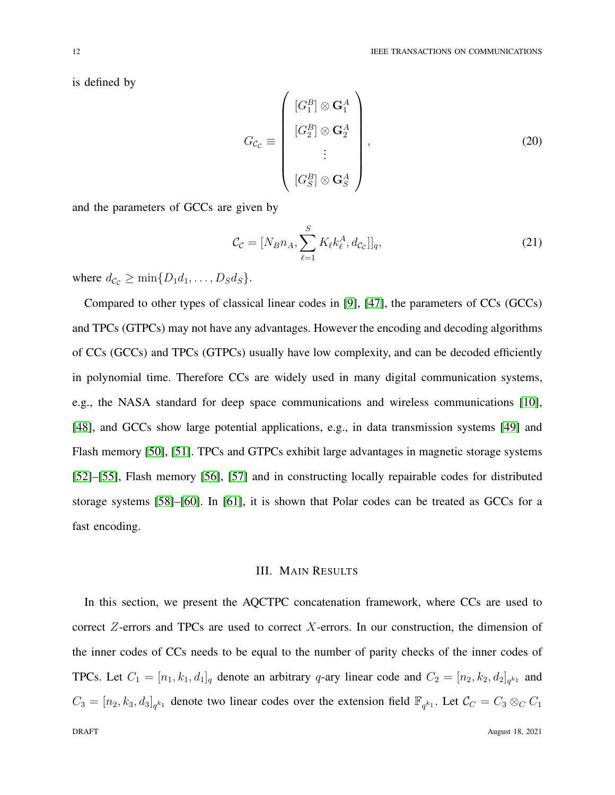is defined by

$$
G_{\mathcal{C}_{\mathcal{C}}} \equiv \begin{pmatrix} [G_1^B] \otimes \mathbf{G}_1^A \\ [G_2^B] \otimes \mathbf{G}_2^A \\ \vdots \\ [G_S^B] \otimes \mathbf{G}_S^A \end{pmatrix},
$$
(20)

and the parameters of GCCs are given by

$$
\mathcal{C}_{\mathcal{C}} = [N_B n_A, \sum_{\ell=1}^{S} K_{\ell} k_{\ell}^A, d_{\mathcal{C}_{\mathcal{C}}}]]_q, \tag{21}
$$

where  $d_{\mathcal{C}_{\mathcal{C}}} \ge \min\{D_1d_1,\ldots,D_Sd_S\}.$ 

Compared to other types of classical linear codes in [\[9\]](#page-32-6), [\[47\]](#page-34-10), the parameters of CCs (GCCs) and TPCs (GTPCs) may not have any advantages. However the encoding and decoding algorithms of CCs (GCCs) and TPCs (GTPCs) usually have low complexity, and can be decoded efficiently in polynomial time. Therefore CCs are widely used in many digital communication systems, e.g., the NASA standard for deep space communications and wireless communications [\[10\]](#page-32-7), [\[48\]](#page-34-11), and GCCs show large potential applications, e.g., in data transmission systems [\[49\]](#page-34-12) and Flash memory [\[50\]](#page-34-13), [\[51\]](#page-34-14). TPCs and GTPCs exhibit large advantages in magnetic storage systems [\[52\]](#page-34-15)–[\[55\]](#page-35-0), Flash memory [\[56\]](#page-35-1), [\[57\]](#page-35-2) and in constructing locally repairable codes for distributed storage systems [\[58\]](#page-35-3)–[\[60\]](#page-35-4). In [\[61\]](#page-35-5), it is shown that Polar codes can be treated as GCCs for a fast encoding.

## III. MAIN RESULTS

<span id="page-11-0"></span>In this section, we present the AQCTPC concatenation framework, where CCs are used to correct  $Z$ -errors and TPCs are used to correct  $X$ -errors. In our construction, the dimension of the inner codes of CCs needs to be equal to the number of parity checks of the inner codes of TPCs. Let  $C_1 = [n_1, k_1, d_1]_q$  denote an arbitrary q-ary linear code and  $C_2 = [n_2, k_2, d_2]_{q^{k_1}}$  and  $C_3 = [n_2, k_3, d_3]_{q^{k_1}}$  denote two linear codes over the extension field  $\mathbb{F}_{q^{k_1}}$ . Let  $\mathcal{C}_C = C_3 \otimes_C C_1$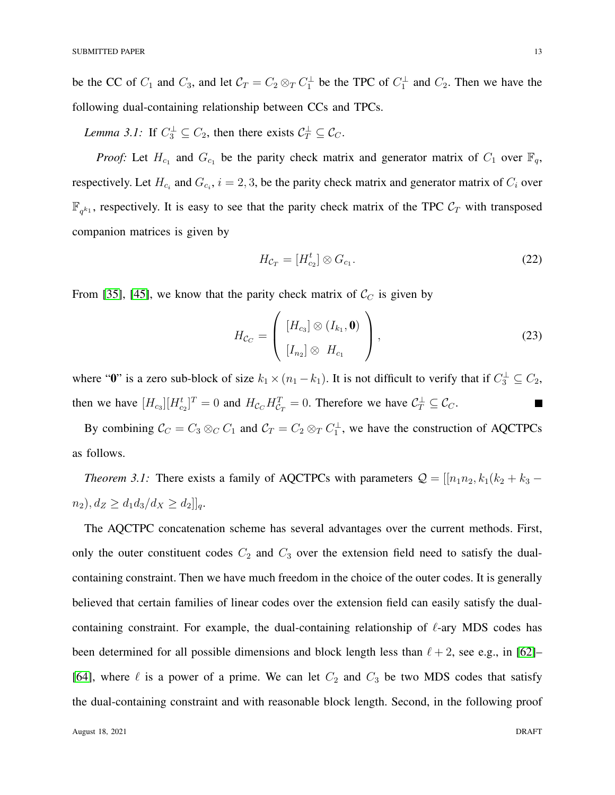be the CC of  $C_1$  and  $C_3$ , and let  $C_T = C_2 \otimes_T C_1^{\perp}$  be the TPC of  $C_1^{\perp}$  and  $C_2$ . Then we have the following dual-containing relationship between CCs and TPCs.

*Lemma 3.1:* If  $C_3^{\perp} \subseteq C_2$ , then there exists  $C_T^{\perp} \subseteq C_C$ .

*Proof:* Let  $H_{c_1}$  and  $G_{c_1}$  be the parity check matrix and generator matrix of  $C_1$  over  $\mathbb{F}_q$ , respectively. Let  $H_{c_i}$  and  $G_{c_i}$ ,  $i = 2, 3$ , be the parity check matrix and generator matrix of  $C_i$  over  $\mathbb{F}_{q^{k_1}}$ , respectively. It is easy to see that the parity check matrix of the TPC  $\mathcal{C}_T$  with transposed companion matrices is given by

<span id="page-12-2"></span><span id="page-12-1"></span>
$$
H_{c_T} = [H_{c_2}^t] \otimes G_{c_1}.
$$
 (22)

From [\[35\]](#page-33-13), [\[45\]](#page-34-8), we know that the parity check matrix of  $\mathcal{C}_C$  is given by

$$
H_{\mathcal{C}_C} = \left( \begin{array}{c} [H_{c_3}] \otimes (I_{k_1}, \mathbf{0}) \\ [I_{n_2}] \otimes H_{c_1} \end{array} \right), \tag{23}
$$

where " $\mathbf{0}$ " is a zero sub-block of size  $k_1 \times (n_1 - k_1)$ . It is not difficult to verify that if  $C_3^{\perp} \subseteq C_2$ , then we have  $[H_{c_3}][H_{c_2}^t]^T = 0$  and  $H_{c_C}H_{c_T}^T = 0$ . Therefore we have  $C_T^{\perp} \subseteq C_C$ .  $\blacksquare$ 

<span id="page-12-0"></span>By combining  $C_C = C_3 \otimes_C C_1$  and  $C_T = C_2 \otimes_T C_1^{\perp}$ , we have the construction of AQCTPCs as follows.

*Theorem 3.1:* There exists a family of AQCTPCs with parameters  $Q = [[n_1n_2, k_1(k_2 + k_3$  $n_2$ ,  $d_Z \geq d_1 d_3 / d_X \geq d_2$ ]]<sub>q</sub>.

The AQCTPC concatenation scheme has several advantages over the current methods. First, only the outer constituent codes  $C_2$  and  $C_3$  over the extension field need to satisfy the dualcontaining constraint. Then we have much freedom in the choice of the outer codes. It is generally believed that certain families of linear codes over the extension field can easily satisfy the dualcontaining constraint. For example, the dual-containing relationship of  $\ell$ -ary MDS codes has been determined for all possible dimensions and block length less than  $\ell + 2$ , see e.g., in [\[62\]](#page-35-6)– [\[64\]](#page-35-7), where  $\ell$  is a power of a prime. We can let  $C_2$  and  $C_3$  be two MDS codes that satisfy the dual-containing constraint and with reasonable block length. Second, in the following proof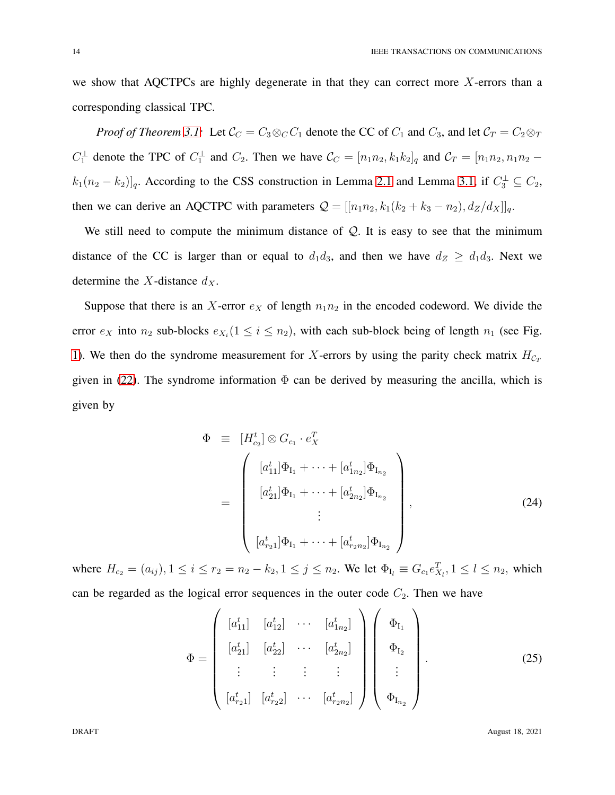we show that AQCTPCs are highly degenerate in that they can correct more  $X$ -errors than a corresponding classical TPC.

*Proof of Theorem [3.1:](#page-12-0)* Let  $C_C = C_3 \otimes_C C_1$  denote the CC of  $C_1$  and  $C_3$ , and let  $C_T = C_2 \otimes_T C_1$  $C_1^{\perp}$  denote the TPC of  $C_1^{\perp}$  and  $C_2$ . Then we have  $C_C = [n_1n_2, k_1k_2]_q$  and  $C_T = [n_1n_2, n_1n_2$  $k_1(n_2 - k_2)$ <sub>q</sub>. According to the CSS construction in Lemma [2.1](#page-6-0) and Lemma [3.1,](#page-12-1) if  $C_3^{\perp} \subseteq C_2$ , then we can derive an AQCTPC with parameters  $Q = [[n_1n_2, k_1(k_2 + k_3 - n_2), d_Z/d_X]]_q$ .

We still need to compute the minimum distance of  $Q$ . It is easy to see that the minimum distance of the CC is larger than or equal to  $d_1d_3$ , and then we have  $d_Z \geq d_1d_3$ . Next we determine the X-distance  $d_X$ .

Suppose that there is an X-error  $e<sub>X</sub>$  of length  $n_1n_2$  in the encoded codeword. We divide the error  $e_X$  into  $n_2$  sub-blocks  $e_{X_i}$  ( $1 \le i \le n_2$ ), with each sub-block being of length  $n_1$  (see Fig. [1\)](#page-15-0). We then do the syndrome measurement for X-errors by using the parity check matrix  $H_{C_T}$ given in [\(22\)](#page-12-2). The syndrome information  $\Phi$  can be derived by measuring the ancilla, which is given by

$$
\Phi = [H_{c_2}^t] \otimes G_{c_1} \cdot e_X^T
$$
\n
$$
= \begin{pmatrix} [a_{11}^t] \Phi_{I_1} + \dots + [a_{1n_2}^t] \Phi_{I_{n_2}} \\ [a_{21}^t] \Phi_{I_1} + \dots + [a_{2n_2}^t] \Phi_{I_{n_2}} \\ \vdots \\ [a_{r_21}^t] \Phi_{I_1} + \dots + [a_{r_2n_2}^t] \Phi_{I_{n_2}} \end{pmatrix},
$$
\n(24)

where  $H_{c_2} = (a_{ij}), 1 \le i \le r_2 = n_2 - k_2, 1 \le j \le n_2$ . We let  $\Phi_{I_l} \equiv G_{c_1} e_{X_l}^T$ ,  $1 \le l \le n_2$ , which can be regarded as the logical error sequences in the outer code  $C_2$ . Then we have

$$
\Phi = \begin{pmatrix} [a_{11}^t] & [a_{12}^t] & \cdots & [a_{1n_2}^t] \\ [a_{21}^t] & [a_{22}^t] & \cdots & [a_{2n_2}^t] \\ \vdots & \vdots & \vdots & \vdots \\ [a_{r_21}^t] & [a_{r_22}^t] & \cdots & [a_{r_2n_2}^t] \end{pmatrix} \begin{pmatrix} \Phi_{I_1} \\ \Phi_{I_2} \\ \vdots \\ \Phi_{I_{n_2}} \end{pmatrix} .
$$
 (25)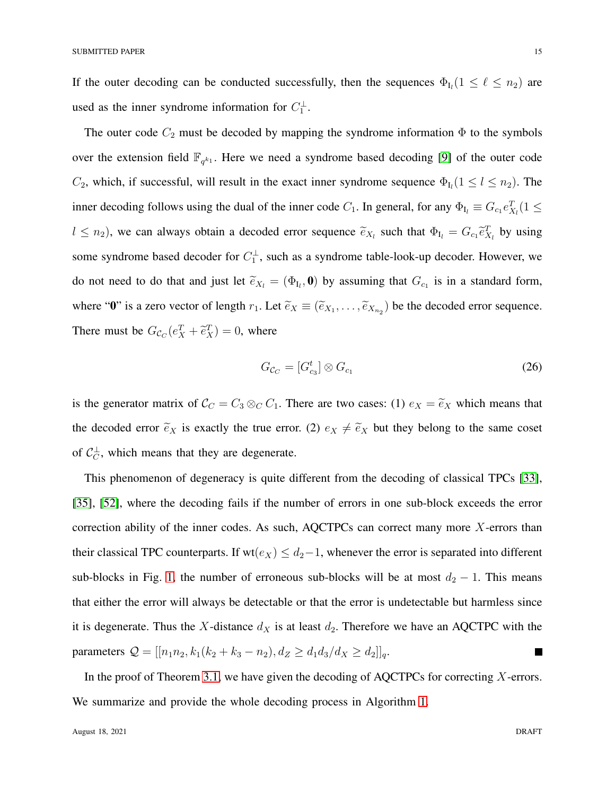If the outer decoding can be conducted successfully, then the sequences  $\Phi_{I_l}$  ( $1 \leq \ell \leq n_2$ ) are used as the inner syndrome information for  $C_1^{\perp}$ .

The outer code  $C_2$  must be decoded by mapping the syndrome information  $\Phi$  to the symbols over the extension field  $\mathbb{F}_{q^{k_1}}$ . Here we need a syndrome based decoding [\[9\]](#page-32-6) of the outer code  $C_2$ , which, if successful, will result in the exact inner syndrome sequence  $\Phi_{I_l}(1 \leq l \leq n_2)$ . The inner decoding follows using the dual of the inner code  $C_1$ . In general, for any  $\Phi_{I_l} \equiv G_{c_1} e_{X_l}^T (1 \leq$  $l \leq n_2$ ), we can always obtain a decoded error sequence  $\tilde{e}_{X_l}$  such that  $\Phi_{I_l} = G_{c_1} \tilde{e}_{X_l}^T$  by using some syndrome based decoder for  $C_1^{\perp}$ , such as a syndrome table-look-up decoder. However, we do not need to do that and just let  $\tilde{e}_{X_l} = (\Phi_{I_l}, \mathbf{0})$  by assuming that  $G_{c_1}$  is in a standard form, where "0" is a zero vector of length  $r_1$ . Let  $\tilde{e}_X \equiv (\tilde{e}_{X_1}, \ldots, \tilde{e}_{X_{n_2}})$  be the decoded error sequence. There must be  $G_{\mathcal{C}_C}(e_X^T + \tilde{e}_X^T) = 0$ , where

$$
G_{\mathcal{C}_C} = [G_{c_3}^t] \otimes G_{c_1} \tag{26}
$$

is the generator matrix of  $C_C = C_3 \otimes_C C_1$ . There are two cases: (1)  $e_X = \tilde{e}_X$  which means that the decoded error  $\tilde{e}_X$  is exactly the true error. (2)  $e_X \neq \tilde{e}_X$  but they belong to the same coset of  $C_C^{\perp}$ , which means that they are degenerate.

This phenomenon of degeneracy is quite different from the decoding of classical TPCs [\[33\]](#page-33-11), [\[35\]](#page-33-13), [\[52\]](#page-34-15), where the decoding fails if the number of errors in one sub-block exceeds the error correction ability of the inner codes. As such, AQCTPCs can correct many more X-errors than their classical TPC counterparts. If wt( $e_X$ )  $\leq d_2-1$ , whenever the error is separated into different sub-blocks in Fig. [1,](#page-15-0) the number of erroneous sub-blocks will be at most  $d_2 - 1$ . This means that either the error will always be detectable or that the error is undetectable but harmless since it is degenerate. Thus the X-distance  $d_X$  is at least  $d_2$ . Therefore we have an AQCTPC with the parameters  $Q = [[n_1n_2, k_1(k_2 + k_3 - n_2), d_Z \ge d_1d_3/d_X \ge d_2]]_q$ . П

In the proof of Theorem [3.1,](#page-12-0) we have given the decoding of AQCTPCs for correcting  $X$ -errors. We summarize and provide the whole decoding process in Algorithm [1.](#page-15-1)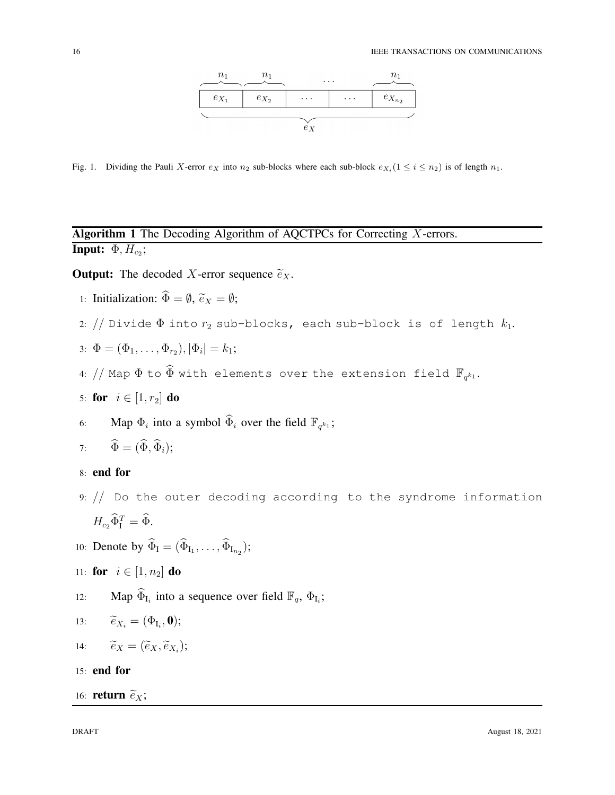

<span id="page-15-0"></span>Fig. 1. Dividing the Pauli X-error  $e_X$  into  $n_2$  sub-blocks where each sub-block  $e_{X_i} (1 \le i \le n_2)$  is of length  $n_1$ .

## <span id="page-15-1"></span>Algorithm 1 The Decoding Algorithm of AQCTPCs for Correcting X-errors. Input:  $\Phi, H_{c_2}$ ;

## **Output:** The decoded X-error sequence  $\tilde{e}_X$ .

- 1: Initialization:  $\widehat{\Phi} = \emptyset$ ,  $\widetilde{e}_X = \emptyset$ ;
- 2: // Divide  $\Phi$  into  $r_2$  sub-blocks, each sub-block is of length  $k_1$ .

$$
3: \ \Phi = (\Phi_1, \ldots, \Phi_{r_2}), |\Phi_i| = k_1;
$$

4: // Map  $\Phi$  to  $\widehat{\Phi}$  with elements over the extension field  $\mathbb{F}_{q^{k_1}}.$ 

$$
5: \textbf{ for } i \in [1, r_2] \textbf{ do}
$$

6: Map  $\Phi_i$  into a symbol  $\widehat{\Phi}_i$  over the field  $\mathbb{F}_{q^{k_1}}$ ;

7: 
$$
\widehat{\Phi} = (\widehat{\Phi}, \widehat{\Phi}_i);
$$

## 8: end for

- 9: // Do the outer decoding according to the syndrome information  $H_{c_2}\widetilde{\Phi}_{\text{I}}^T = \widehat{\Phi}.$
- 10: Denote by  $\Phi_{I} = (\Phi_{I_1}, \ldots, \Phi_{I_{n_2}});$

11: **for** 
$$
i \in [1, n_2]
$$
 **do**

12: Map  $\widehat{\Phi}_{I_i}$  into a sequence over field  $\mathbb{F}_q$ ,  $\Phi_{I_i}$ ;

13: 
$$
\widetilde{e}_{X_i} = (\Phi_{\mathrm{I}_i}, \mathbf{0});
$$

$$
14: \qquad \widetilde{e}_X = (\widetilde{e}_X, \widetilde{e}_{X_i});
$$

15: end for

## 16: **return**  $\widetilde{e}_X$ ;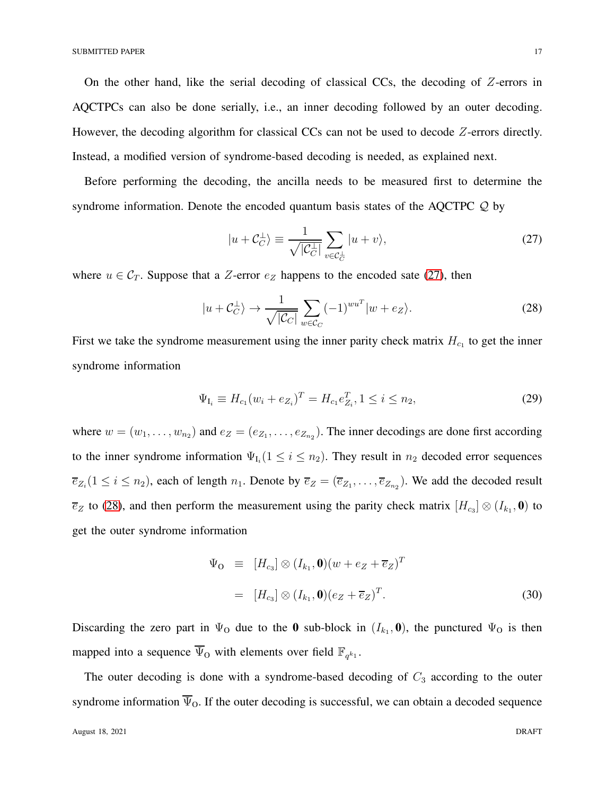On the other hand, like the serial decoding of classical CCs, the decoding of Z-errors in AQCTPCs can also be done serially, i.e., an inner decoding followed by an outer decoding. However, the decoding algorithm for classical CCs can not be used to decode Z-errors directly. Instead, a modified version of syndrome-based decoding is needed, as explained next.

Before performing the decoding, the ancilla needs to be measured first to determine the syndrome information. Denote the encoded quantum basis states of the AQCTPC  $\mathcal{Q}$  by

<span id="page-16-1"></span><span id="page-16-0"></span>
$$
|u + C_C^{\perp}\rangle \equiv \frac{1}{\sqrt{|C_C^{\perp}|}} \sum_{v \in C_C^{\perp}} |u + v\rangle,
$$
 (27)

where  $u \in C_T$ . Suppose that a Z-error  $e_Z$  happens to the encoded sate [\(27\)](#page-16-0), then

$$
|u + C_C^{\perp}\rangle \to \frac{1}{\sqrt{|C_C|}} \sum_{w \in C_C} (-1)^{wu^T} |w + e_Z\rangle.
$$
 (28)

First we take the syndrome measurement using the inner parity check matrix  $H_{c<sub>1</sub>}$  to get the inner syndrome information

<span id="page-16-2"></span>
$$
\Psi_{I_i} \equiv H_{c_1}(w_i + e_{Z_i})^T = H_{c_1}e_{Z_i}^T, 1 \le i \le n_2,
$$
\n(29)

where  $w = (w_1, \dots, w_{n_2})$  and  $e_Z = (e_{Z_1}, \dots, e_{Z_{n_2}})$ . The inner decodings are done first according to the inner syndrome information  $\Psi_{I_i}$  ( $1 \leq i \leq n_2$ ). They result in  $n_2$  decoded error sequences  $\overline{e}_{Z_i}(1 \leq i \leq n_2)$ , each of length  $n_1$ . Denote by  $\overline{e}_Z = (\overline{e}_{Z_1}, \ldots, \overline{e}_{Z_{n_2}})$ . We add the decoded result  $\overline{e}_Z$  to [\(28\)](#page-16-1), and then perform the measurement using the parity check matrix  $[H_{c_3}] \otimes (I_{k_1}, \mathbf{0})$  to get the outer syndrome information

$$
\Psi_{\mathbf{O}} \equiv [H_{c_3}] \otimes (I_{k_1}, \mathbf{0}) (w + e_Z + \overline{e}_Z)^T
$$
  

$$
= [H_{c_3}] \otimes (I_{k_1}, \mathbf{0}) (e_Z + \overline{e}_Z)^T.
$$
 (30)

Discarding the zero part in  $\Psi_0$  due to the **0** sub-block in  $(I_{k_1}, \mathbf{0})$ , the punctured  $\Psi_0$  is then mapped into a sequence  $\overline{\Psi}_{\mathcal{O}}$  with elements over field  $\mathbb{F}_{q^{k_1}}$ .

The outer decoding is done with a syndrome-based decoding of  $C_3$  according to the outer syndrome information  $\overline{\Psi}_{0}$ . If the outer decoding is successful, we can obtain a decoded sequence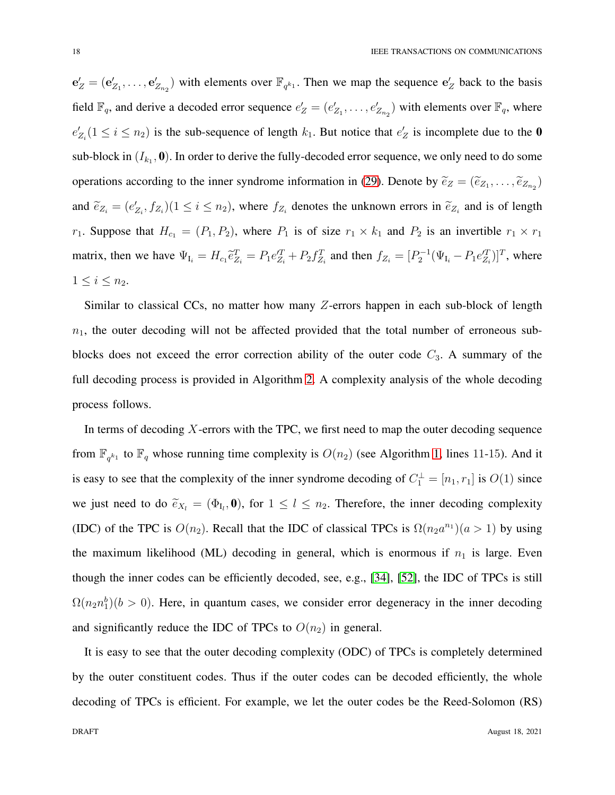$e'_{Z} = (e'_{Z_1}, \ldots, e'_{Z_{n_2}})$  with elements over  $\mathbb{F}_{q^{k_1}}$ . Then we map the sequence  $e'_{Z}$  back to the basis field  $\mathbb{F}_q$ , and derive a decoded error sequence  $e'_Z = (e'_{Z_1}, \ldots, e'_{Z_{n_2}})$  with elements over  $\mathbb{F}_q$ , where  $e'_{Z_i}$  ( $1 \le i \le n_2$ ) is the sub-sequence of length  $k_1$ . But notice that  $e'_Z$  is incomplete due to the **0** sub-block in  $(I_{k_1}, 0)$ . In order to derive the fully-decoded error sequence, we only need to do some operations according to the inner syndrome information in [\(29\)](#page-16-2). Denote by  $\tilde{e}_Z = (\tilde{e}_{Z_1}, \dots, \tilde{e}_{Z_{n_2}})$ and  $\tilde{e}_{Z_i} = (e'_{Z_i}, f_{Z_i}) (1 \le i \le n_2)$ , where  $f_{Z_i}$  denotes the unknown errors in  $\tilde{e}_{Z_i}$  and is of length  $r_1$ . Suppose that  $H_{c_1} = (P_1, P_2)$ , where  $P_1$  is of size  $r_1 \times k_1$  and  $P_2$  is an invertible  $r_1 \times r_1$ matrix, then we have  $\Psi_{I_i} = H_{c_1} \tilde{e}_{Z_i}^T = P_1 e_{Z_i}^{'T} + P_2 f_{Z_i}^T$  and then  $f_{Z_i} = [P_2^{-1} (\Psi_{I_i} - P_1 e_{Z_i}^{'T})]^T$ , where  $1 \leq i \leq n_2$ .

Similar to classical CCs, no matter how many Z-errors happen in each sub-block of length  $n_1$ , the outer decoding will not be affected provided that the total number of erroneous subblocks does not exceed the error correction ability of the outer code  $C_3$ . A summary of the full decoding process is provided in Algorithm [2.](#page-18-0) A complexity analysis of the whole decoding process follows.

In terms of decoding  $X$ -errors with the TPC, we first need to map the outer decoding sequence from  $\mathbb{F}_{q^{k_1}}$  to  $\mathbb{F}_q$  whose running time complexity is  $O(n_2)$  (see Algorithm [1,](#page-15-1) lines 11-15). And it is easy to see that the complexity of the inner syndrome decoding of  $C_1^{\perp} = [n_1, r_1]$  is  $O(1)$  since we just need to do  $\tilde{e}_{X_l} = (\Phi_{I_l}, \mathbf{0})$ , for  $1 \leq l \leq n_2$ . Therefore, the inner decoding complexity (IDC) of the TPC is  $O(n_2)$ . Recall that the IDC of classical TPCs is  $\Omega(n_2a^{n_1})(a>1)$  by using the maximum likelihood (ML) decoding in general, which is enormous if  $n_1$  is large. Even though the inner codes can be efficiently decoded, see, e.g., [\[34\]](#page-33-12), [\[52\]](#page-34-15), the IDC of TPCs is still  $\Omega(n_2 n_1^b)(b > 0)$ . Here, in quantum cases, we consider error degeneracy in the inner decoding and significantly reduce the IDC of TPCs to  $O(n_2)$  in general.

It is easy to see that the outer decoding complexity (ODC) of TPCs is completely determined by the outer constituent codes. Thus if the outer codes can be decoded efficiently, the whole decoding of TPCs is efficient. For example, we let the outer codes be the Reed-Solomon (RS)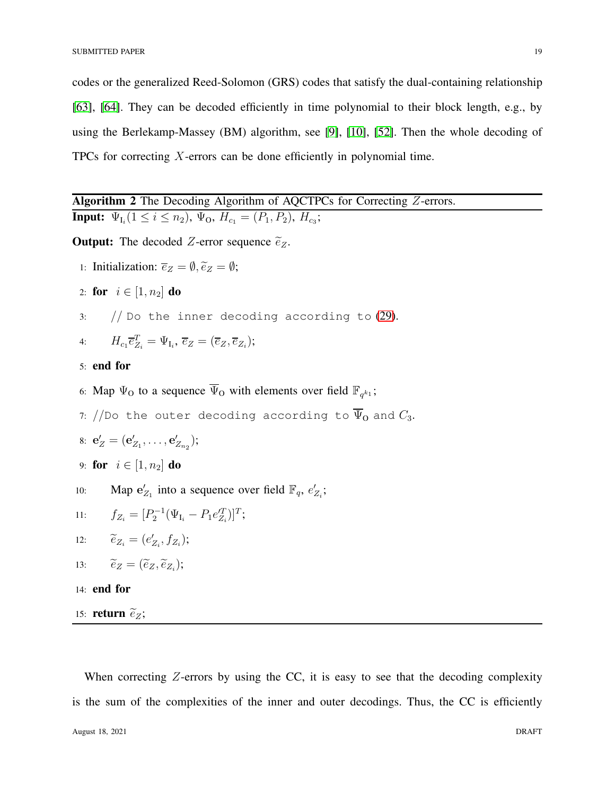codes or the generalized Reed-Solomon (GRS) codes that satisfy the dual-containing relationship [\[63\]](#page-35-8), [\[64\]](#page-35-7). They can be decoded efficiently in time polynomial to their block length, e.g., by using the Berlekamp-Massey (BM) algorithm, see [\[9\]](#page-32-6), [\[10\]](#page-32-7), [\[52\]](#page-34-15). Then the whole decoding of TPCs for correcting X-errors can be done efficiently in polynomial time.

<span id="page-18-0"></span>Algorithm 2 The Decoding Algorithm of AQCTPCs for Correcting Z-errors. **Input:**  $\Psi_{I_i} (1 \leq i \leq n_2), \Psi_{O}, H_{c_1} = (P_1, P_2), H_{c_3};$ 

**Output:** The decoded Z-error sequence  $\tilde{e}_z$ .

- 1: Initialization:  $\overline{e}_Z = \emptyset$ ,  $\widetilde{e}_Z = \emptyset$ ;
- 2: for  $i \in [1, n_2]$  do
- $3:$  // Do the inner decoding according to  $(29)$ .

4: 
$$
H_{c_1}\overline{e}_{Z_i}^T = \Psi_{I_i}, \overline{e}_Z = (\overline{e}_Z, \overline{e}_{Z_i});
$$

## 5: end for

6: Map  $\Psi_0$  to a sequence  $\overline{\Psi}_0$  with elements over field  $\mathbb{F}_{q^{k_1}}$ ;

7: //Do the outer decoding according to  $\overline{\Psi}_{\mathbf{0}}$  and  $C_3$ .

8: 
$$
\mathbf{e}'_Z = (\mathbf{e}'_{Z_1}, \ldots, \mathbf{e}'_{Z_{n_2}});
$$

9: **for** 
$$
i \in [1, n_2]
$$
 **do**

10: Map  $e'_{Z_1}$  into a sequence over field  $\mathbb{F}_q$ ,  $e'_{Z_i}$ ;

11: 
$$
f_{Z_i} = [P_2^{-1}(\Psi_{I_i} - P_1 e_{Z_i}^T)]^T;
$$

$$
12: \qquad \widetilde{e}_{Z_i} = (e'_{Z_i}, f_{Z_i});
$$

13: 
$$
\widetilde{e}_Z = (\widetilde{e}_Z, \widetilde{e}_{Z_i});
$$

- 14: end for
- 15: return  $\tilde{e}_Z$ ;

When correcting  $Z$ -errors by using the CC, it is easy to see that the decoding complexity is the sum of the complexities of the inner and outer decodings. Thus, the CC is efficiently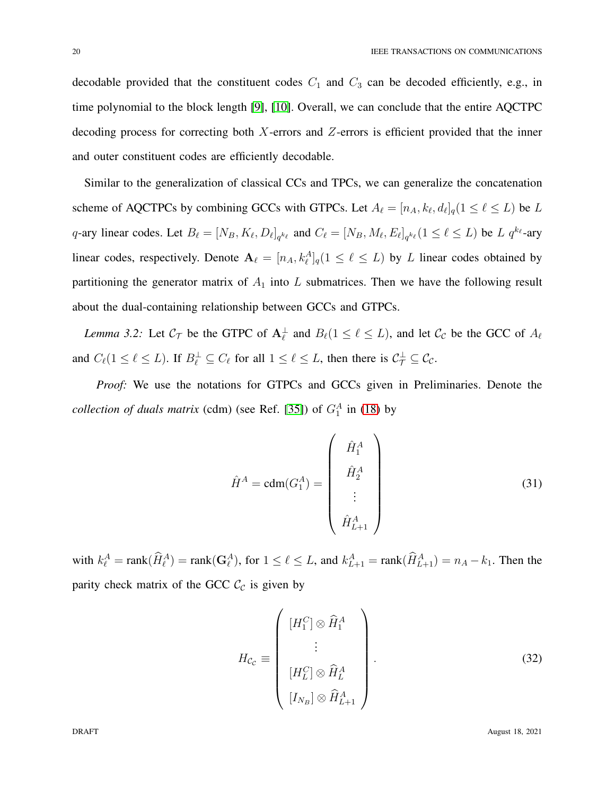decodable provided that the constituent codes  $C_1$  and  $C_3$  can be decoded efficiently, e.g., in time polynomial to the block length [\[9\]](#page-32-6), [\[10\]](#page-32-7). Overall, we can conclude that the entire AQCTPC decoding process for correcting both  $X$ -errors and  $Z$ -errors is efficient provided that the inner and outer constituent codes are efficiently decodable.

Similar to the generalization of classical CCs and TPCs, we can generalize the concatenation scheme of AQCTPCs by combining GCCs with GTPCs. Let  $A_{\ell} = [n_A, k_{\ell}, d_{\ell}]_q (1 \leq \ell \leq L)$  be L q-ary linear codes. Let  $B_{\ell} = [N_B, K_{\ell}, D_{\ell}]_{q^{k_{\ell}}}$  and  $C_{\ell} = [N_B, M_{\ell}, E_{\ell}]_{q^{k_{\ell}}}(1 \leq \ell \leq L)$  be  $L q^{k_{\ell}}$ -ary linear codes, respectively. Denote  $\mathbf{A}_{\ell} = [n_A, k_{\ell}^A]_q (1 \leq \ell \leq L)$  by L linear codes obtained by partitioning the generator matrix of  $A_1$  into  $L$  submatrices. Then we have the following result about the dual-containing relationship between GCCs and GTPCs.

*Lemma 3.2:* Let  $C_{\mathcal{T}}$  be the GTPC of  $A_{\ell}^{\perp}$  and  $B_{\ell}(1 \leq \ell \leq L)$ , and let  $C_{\mathcal{C}}$  be the GCC of  $A_{\ell}$ and  $C_{\ell}(1 \leq \ell \leq L)$ . If  $B_{\ell}^{\perp} \subseteq C_{\ell}$  for all  $1 \leq \ell \leq L$ , then there is  $C_{\mathcal{T}}^{\perp} \subseteq C_{\mathcal{C}}$ .

*Proof:* We use the notations for GTPCs and GCCs given in Preliminaries. Denote the *collection of duals matrix* (cdm) (see Ref. [\[35\]](#page-33-13)) of  $G_1^A$  in [\(18\)](#page-10-0) by

$$
\hat{H}^A = \text{cdm}(G_1^A) = \begin{pmatrix} \hat{H}_1^A \\ \hat{H}_2^A \\ \vdots \\ \hat{H}_{L+1}^A \end{pmatrix}
$$
\n(31)

with  $k_{\ell}^A = \text{rank}(\widehat{H}_{\ell}^A) = \text{rank}(\mathbf{G}_{\ell}^A)$ , for  $1 \leq \ell \leq L$ , and  $k_{L+1}^A = \text{rank}(\widehat{H}_{L+1}^A) = n_A - k_1$ . Then the parity check matrix of the GCC  $\mathcal{C}_{\mathcal{C}}$  is given by

$$
H_{\mathcal{C}_{\mathcal{C}}} \equiv \left( \begin{array}{c} [H_1^C] \otimes \widehat{H}_1^A \\ \vdots \\ [H_L^C] \otimes \widehat{H}_L^A \\ [I_{N_B}] \otimes \widehat{H}_{L+1}^A \end{array} \right). \tag{32}
$$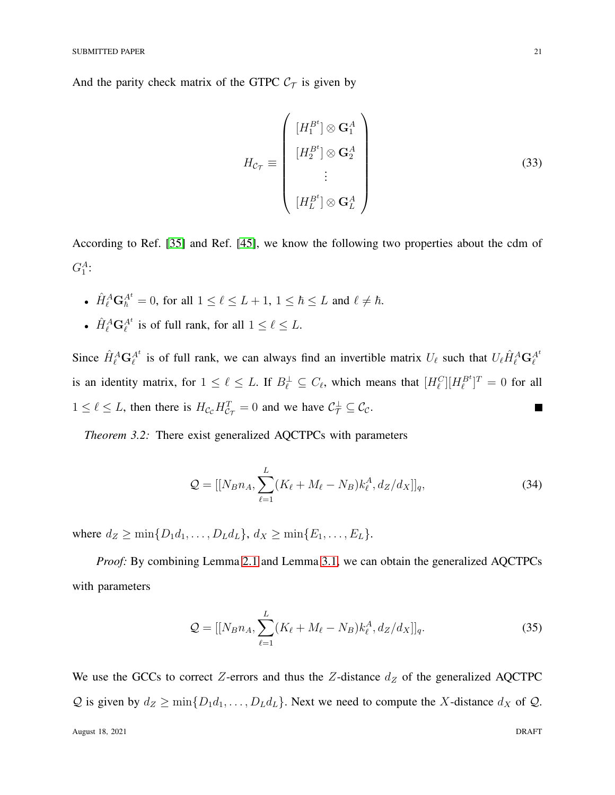And the parity check matrix of the GTPC  $C_{\tau}$  is given by

$$
H_{\mathcal{C}_{\mathcal{T}}} \equiv \begin{pmatrix} [H_1^{B^t}] \otimes \mathbf{G}_1^A \\ [H_2^{B^t}] \otimes \mathbf{G}_2^A \\ \vdots \\ [H_L^{B^t}] \otimes \mathbf{G}_L^A \end{pmatrix}
$$
(33)

According to Ref. [\[35\]](#page-33-13) and Ref. [\[45\]](#page-34-8), we know the following two properties about the cdm of  $G_1^A$ :

- $\hat{H}_{\ell}^{A} \mathbf{G}_{\hbar}^{A^t} = 0$ , for all  $1 \leq \ell \leq L+1$ ,  $1 \leq \hbar \leq L$  and  $\ell \neq \hbar$ .
- $\hat{H}_{\ell}^{A} \mathbf{G}_{\ell}^{A^{t}}$  is of full rank, for all  $1 \leq \ell \leq L$ .

Since  $\hat{H}_{\ell}^{A} \mathbf{G}_{\ell}^{A^t}$  is of full rank, we can always find an invertible matrix  $U_{\ell}$  such that  $U_{\ell} \hat{H}_{\ell}^{A} \mathbf{G}_{\ell}^{A^t}$ is an identity matrix, for  $1 \leq \ell \leq L$ . If  $B_{\ell}^{\perp} \subseteq C_{\ell}$ , which means that  $[H_{\ell}^{C}][H_{\ell}^{B^t}]^T = 0$  for all  $1 \leq \ell \leq L$ , then there is  $H_{\mathcal{C}_{\mathcal{C}}} H_{\mathcal{C}_{\mathcal{T}}}^T = 0$  and we have  $\mathcal{C}_{\mathcal{T}}^{\perp} \subseteq \mathcal{C}_{\mathcal{C}}$ .  $\mathcal{L}_{\mathcal{A}}$ 

<span id="page-20-0"></span>*Theorem 3.2:* There exist generalized AQCTPCs with parameters

$$
Q = [[N_B n_A, \sum_{\ell=1}^{L} (K_{\ell} + M_{\ell} - N_B) k_{\ell}^A, d_Z/d_X]]_q, \qquad (34)
$$

where  $d_Z \ge \min\{D_1d_1, ..., D_Ld_L\}, d_X \ge \min\{E_1, ..., E_L\}.$ 

*Proof:* By combining Lemma [2.1](#page-6-0) and Lemma [3.1,](#page-12-1) we can obtain the generalized AQCTPCs with parameters

$$
Q = [[N_B n_A, \sum_{\ell=1}^{L} (K_{\ell} + M_{\ell} - N_B) k_{\ell}^A, d_Z/d_X]]_q.
$$
 (35)

We use the GCCs to correct Z-errors and thus the Z-distance  $d_Z$  of the generalized AQCTPC  $Q$  is given by  $d_Z \ge \min\{D_1d_1, \ldots, D_Ld_L\}$ . Next we need to compute the X-distance  $d_X$  of  $Q$ .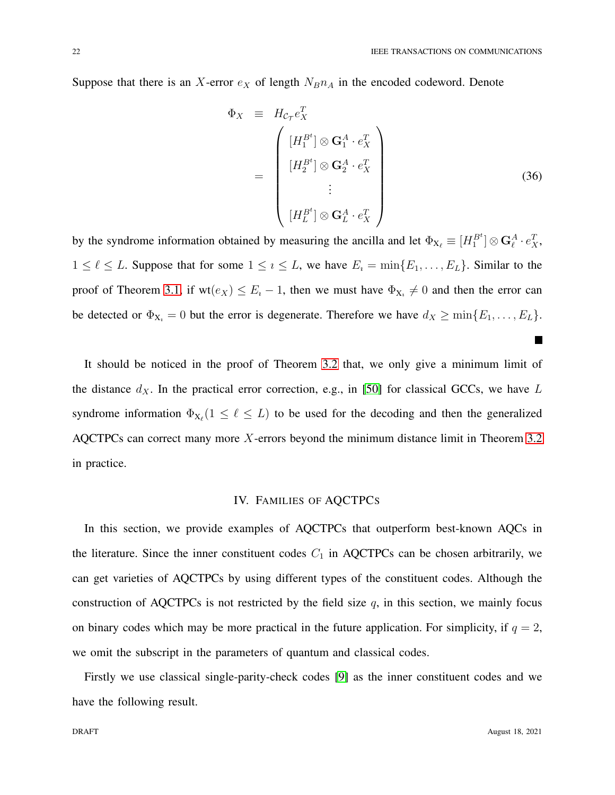Suppose that there is an X-error  $e_X$  of length  $N_Bn_A$  in the encoded codeword. Denote

$$
\Phi_X \equiv H_{\mathcal{C}_T} e_X^T
$$
\n
$$
= \begin{pmatrix}\n[H_1^{B^t}] \otimes \mathbf{G}_1^A \cdot e_X^T \\
[H_2^{B^t}] \otimes \mathbf{G}_2^A \cdot e_X^T \\
\vdots \\
[H_L^{B^t}] \otimes \mathbf{G}_L^A \cdot e_X^T\n\end{pmatrix}
$$
\n(36)

by the syndrome information obtained by measuring the ancilla and let  $\Phi_{X_\ell} \equiv [H_1^{B^t}] \otimes \mathbf{G}_\ell^A \cdot e_X^T$ ,  $1 \leq \ell \leq L$ . Suppose that for some  $1 \leq \ell \leq L$ , we have  $E_i = \min\{E_1, \ldots, E_L\}$ . Similar to the proof of Theorem [3.1,](#page-12-0) if  $wt(e_X) \leq E_i - 1$ , then we must have  $\Phi_{X_i} \neq 0$  and then the error can be detected or  $\Phi_{X_i} = 0$  but the error is degenerate. Therefore we have  $d_X \ge \min\{E_1, \ldots, E_L\}$ .

It should be noticed in the proof of Theorem [3.2](#page-20-0) that, we only give a minimum limit of the distance  $d_X$ . In the practical error correction, e.g., in [\[50\]](#page-34-13) for classical GCCs, we have L syndrome information  $\Phi_{X_{\ell}}(1 \leq \ell \leq L)$  to be used for the decoding and then the generalized AQCTPCs can correct many more X-errors beyond the minimum distance limit in Theorem [3.2](#page-20-0) in practice.

## IV. FAMILIES OF AQCTPCS

<span id="page-21-0"></span>In this section, we provide examples of AQCTPCs that outperform best-known AQCs in the literature. Since the inner constituent codes  $C_1$  in AQCTPCs can be chosen arbitrarily, we can get varieties of AQCTPCs by using different types of the constituent codes. Although the construction of AQCTPCs is not restricted by the field size  $q$ , in this section, we mainly focus on binary codes which may be more practical in the future application. For simplicity, if  $q = 2$ , we omit the subscript in the parameters of quantum and classical codes.

<span id="page-21-1"></span>Firstly we use classical single-parity-check codes [\[9\]](#page-32-6) as the inner constituent codes and we have the following result.

 $\overline{\phantom{a}}$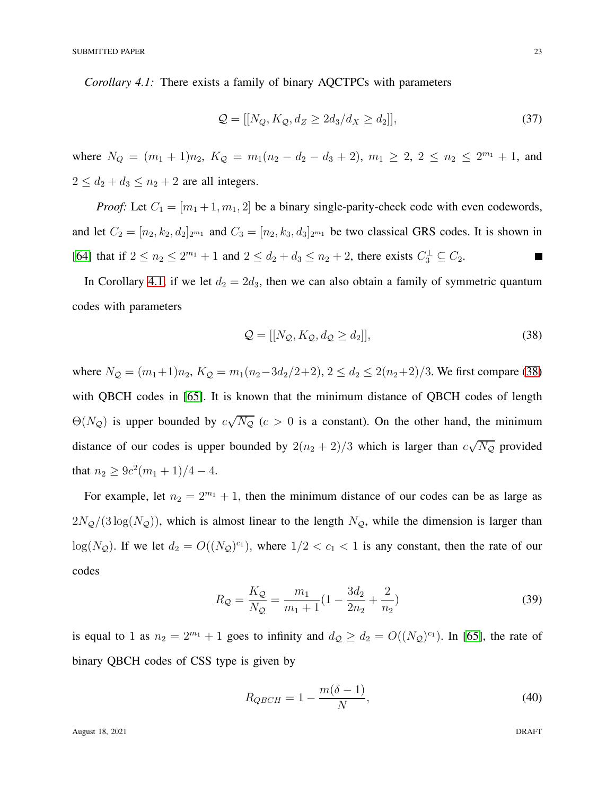*Corollary 4.1:* There exists a family of binary AQCTPCs with parameters

<span id="page-22-1"></span>
$$
\mathcal{Q} = [[N_Q, K_Q, d_Z \ge 2d_3/d_X \ge d_2]], \tag{37}
$$

where  $N_Q = (m_1 + 1)n_2$ ,  $K_Q = m_1(n_2 - d_2 - d_3 + 2)$ ,  $m_1 \ge 2$ ,  $2 \le n_2 \le 2^{m_1} + 1$ , and  $2 \le d_2 + d_3 \le n_2 + 2$  are all integers.

*Proof:* Let  $C_1 = [m_1 + 1, m_1, 2]$  be a binary single-parity-check code with even codewords, and let  $C_2 = [n_2, k_2, d_2]_{2^{m_1}}$  and  $C_3 = [n_2, k_3, d_3]_{2^{m_1}}$  be two classical GRS codes. It is shown in [\[64\]](#page-35-7) that if  $2 \le n_2 \le 2^{m_1} + 1$  and  $2 \le d_2 + d_3 \le n_2 + 2$ , there exists  $C_3^{\perp} \subseteq C_2$ . ш

In Corollary [4.1,](#page-21-1) if we let  $d_2 = 2d_3$ , then we can also obtain a family of symmetric quantum codes with parameters

<span id="page-22-0"></span>
$$
\mathcal{Q} = [[N_{\mathcal{Q}}, K_{\mathcal{Q}}, d_{\mathcal{Q}} \ge d_2]], \tag{38}
$$

where  $N_Q = (m_1+1)n_2$ ,  $K_Q = m_1(n_2-3d_2/2+2)$ ,  $2 \le d_2 \le 2(n_2+2)/3$ . We first compare [\(38\)](#page-22-0) with QBCH codes in [\[65\]](#page-35-9). It is known that the minimum distance of QBCH codes of length  $\Theta(N_{\mathcal{Q}})$  is upper bounded by  $c\sqrt{N_{\mathcal{Q}}}(c>0$  is a constant). On the other hand, the minimum distance of our codes is upper bounded by  $2(n_2 + 2)/3$  which is larger than  $c\sqrt{N_Q}$  provided that  $n_2 \ge 9c^2(m_1+1)/4-4$ .

For example, let  $n_2 = 2^{m_1} + 1$ , then the minimum distance of our codes can be as large as  $2N_Q/(3 \log(N_Q))$ , which is almost linear to the length  $N_Q$ , while the dimension is larger than  $log(N_Q)$ . If we let  $d_2 = O((N_Q)^{c_1})$ , where  $1/2 < c_1 < 1$  is any constant, then the rate of our codes

$$
R_{\mathcal{Q}} = \frac{K_{\mathcal{Q}}}{N_{\mathcal{Q}}} = \frac{m_1}{m_1 + 1} \left( 1 - \frac{3d_2}{2n_2} + \frac{2}{n_2} \right) \tag{39}
$$

is equal to 1 as  $n_2 = 2^{m_1} + 1$  goes to infinity and  $d_{\mathcal{Q}} \geq d_2 = O((N_{\mathcal{Q}})^{c_1})$ . In [\[65\]](#page-35-9), the rate of binary QBCH codes of CSS type is given by

$$
R_{QBCH} = 1 - \frac{m(\delta - 1)}{N},\tag{40}
$$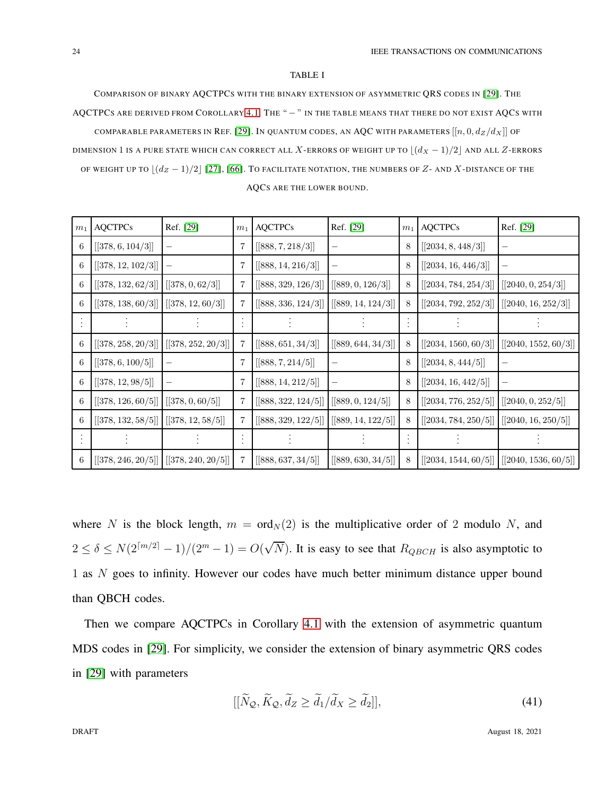#### TABLE I

<span id="page-23-1"></span>COMPARISON OF BINARY AQCTPCS WITH THE BINARY EXTENSION OF ASYMMETRIC QRS CODES IN [\[29\]](#page-33-8). THE AQCTPCS ARE DERIVED FROM COROLLARY [4.1.](#page-21-1) THE " - " IN THE TABLE MEANS THAT THERE DO NOT EXIST AQCS WITH COMPARABLE PARAMETERS IN REF. [\[29\]](#page-33-8). IN QUANTUM CODES, AN AQC WITH PARAMETERS  $[[n, 0, d_Z/d_X]]$  of DIMENSION 1 IS A PURE STATE WHICH CAN CORRECT ALL X-ERRORS OF WEIGHT UP TO  $\lfloor (d_X - 1)/2 \rfloor$  AND ALL Z-ERRORS OF WEIGHT UP TO  $\lfloor (d_Z - 1)/2 \rfloor$  [\[27\]](#page-33-6), [\[66\]](#page-35-10). TO FACILITATE NOTATION, THE NUMBERS OF  $Z$ - AND  $X$ -DISTANCE OF THE

| m <sub>1</sub> | <b>AQCTPCs</b>                        | Ref. [29]          | $m_1$ | <b>AQCTPCs</b>                | Ref. [29]          | $m_1$ | <b>AQCTPCs</b>                             | Ref. [29]                |
|----------------|---------------------------------------|--------------------|-------|-------------------------------|--------------------|-------|--------------------------------------------|--------------------------|
| 6              | [[378, 6, 104/3]]                     |                    | 7     | [[888, 7, 218/3]]             |                    | 8     | [[2034, 8, 448/3]]                         |                          |
| 6              | [[378, 12, 102/3]]                    |                    | 7     | [[888, 14, 216/3]]            |                    | 8     | [[2034, 16, 446/3]]                        | -                        |
| 6              | [[378, 132, 62/3]]                    | [[378, 0, 62/3]]   | 7     | [[888, 329, 126/3]]           | [[889, 0, 126/3]]  | 8     | [[2034, 784, 254/3]]                       | [[2040, 0, 254/3]]       |
| 6              | [[378, 138, 60/3]]                    | [[378, 12, 60/3]]  | 7     | [[888, 336, 124/3]]           | [[889, 14, 124/3]] | 8     | [[2034, 792, 252/3]]                       | [[2040, 16, 252/3]]      |
|                |                                       |                    |       |                               |                    |       |                                            |                          |
| 6              | [[378, 258, 20/3]] [[378, 252, 20/3]] |                    | 7     | $\left[[888,651,34/3]\right]$ | [[889, 644, 34/3]] | 8     | [[2034, 1560, 60/3]]                       | [[2040, 1552, 60/3]]     |
| 6              | [[378, 6, 100/5]]                     |                    | 7     | [[888, 7, 214/5]]             | -                  | 8     | [[2034, 8, 444/5]]                         | $\overline{\phantom{0}}$ |
| 6              | [[378, 12, 98/5]]                     |                    | 7     | [[888, 14, 212/5]]            |                    | 8     | [[2034, 16, 442/5]]                        |                          |
| 6              | [[378, 126, 60/5]]                    | [[378, 0, 60/5]]   | 7     | [[888, 322, 124/5]]           | [[889, 0, 124/5]]  | 8     | $\left[\left[2034,776,252/5\right]\right]$ | [[2040, 0, 252/5]]       |
| 6              | [[378, 132, 58/5]] [[378, 12, 58/5]]  |                    | 7     | [[888, 329, 122/5]]           | [[889, 14, 122/5]] | 8     | [[2034, 784, 250/5]]                       | [[2040, 16, 250/5]]      |
|                |                                       |                    |       |                               |                    |       |                                            |                          |
| 6              | [[378, 246, 20/5]]                    | [[378, 240, 20/5]] | 7     | [[888, 637, 34/5]]            | [[889, 630, 34/5]] | 8     | [[2034, 1544, 60/5]]                       | [[2040, 1536, 60/5]]     |

AQCS ARE THE LOWER BOUND.

where N is the block length,  $m = \text{ord}_N(2)$  is the multiplicative order of 2 modulo N, and  $2 \le \delta \le N(2^{\lceil m/2 \rceil} - 1)/(2^m - 1) = O(\sqrt{N})$ . It is easy to see that  $R_{QBCH}$  is also asymptotic to 1 as N goes to infinity. However our codes have much better minimum distance upper bound than QBCH codes.

Then we compare AQCTPCs in Corollary [4.1](#page-21-1) with the extension of asymmetric quantum MDS codes in [\[29\]](#page-33-8). For simplicity, we consider the extension of binary asymmetric QRS codes in [\[29\]](#page-33-8) with parameters

<span id="page-23-0"></span>
$$
[[\widetilde{N}_{\mathcal{Q}}, \widetilde{K}_{\mathcal{Q}}, \widetilde{d}_Z \ge \widetilde{d}_1/\widetilde{d}_X \ge \widetilde{d}_2]], \tag{41}
$$

DRAFT August 18, 2021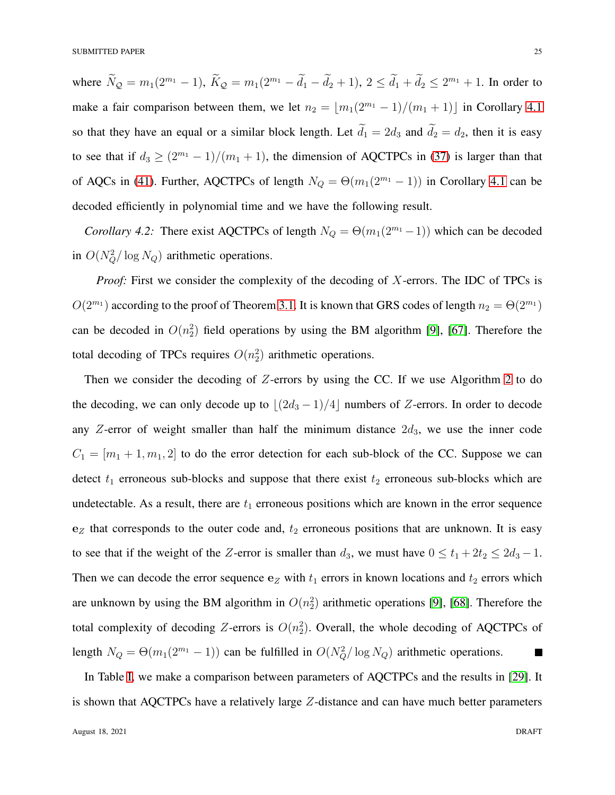where  $N_Q = m_1(2^{m_1} - 1)$ ,  $K_Q = m_1(2^{m_1} - d_1 - d_2 + 1)$ ,  $2 \le d_1 + d_2 \le 2^{m_1} + 1$ . In order to make a fair comparison between them, we let  $n_2 = \lfloor m_1(2^{m_1} - 1)/(m_1 + 1) \rfloor$  in Corollary [4.1](#page-21-1) so that they have an equal or a similar block length. Let  $\tilde{d}_1 = 2d_3$  and  $\tilde{d}_2 = d_2$ , then it is easy to see that if  $d_3 \ge (2^{m_1} - 1)/(m_1 + 1)$ , the dimension of AQCTPCs in [\(37\)](#page-22-1) is larger than that of AQCs in [\(41\)](#page-23-0). Further, AQCTPCs of length  $N_Q = \Theta(m_1(2^{m_1}-1))$  in Corollary [4.1](#page-21-1) can be decoded efficiently in polynomial time and we have the following result.

<span id="page-24-0"></span>*Corollary 4.2:* There exist AQCTPCs of length  $N_Q = \Theta(m_1(2^{m_1}-1))$  which can be decoded in  $O(N_Q^2/\log N_Q)$  arithmetic operations.

*Proof:* First we consider the complexity of the decoding of X-errors. The IDC of TPCs is  $O(2^{m_1})$  according to the proof of Theorem [3.1.](#page-12-0) It is known that GRS codes of length  $n_2 = \Theta(2^{m_1})$ can be decoded in  $O(n_2^2)$  field operations by using the BM algorithm [\[9\]](#page-32-6), [\[67\]](#page-35-11). Therefore the total decoding of TPCs requires  $O(n_2^2)$  arithmetic operations.

Then we consider the decoding of  $Z$ -errors by using the CC. If we use Algorithm [2](#page-18-0) to do the decoding, we can only decode up to  $\lfloor (2d_3 - 1)/4 \rfloor$  numbers of Z-errors. In order to decode any Z-error of weight smaller than half the minimum distance  $2d_3$ , we use the inner code  $C_1 = [m_1 + 1, m_1, 2]$  to do the error detection for each sub-block of the CC. Suppose we can detect  $t_1$  erroneous sub-blocks and suppose that there exist  $t_2$  erroneous sub-blocks which are undetectable. As a result, there are  $t_1$  erroneous positions which are known in the error sequence  $e_Z$  that corresponds to the outer code and,  $t_2$  erroneous positions that are unknown. It is easy to see that if the weight of the Z-error is smaller than  $d_3$ , we must have  $0 \le t_1 + 2t_2 \le 2d_3 - 1$ . Then we can decode the error sequence  $e_Z$  with  $t_1$  errors in known locations and  $t_2$  errors which are unknown by using the BM algorithm in  $O(n_2^2)$  arithmetic operations [\[9\]](#page-32-6), [\[68\]](#page-35-12). Therefore the total complexity of decoding Z-errors is  $O(n_2^2)$ . Overall, the whole decoding of AQCTPCs of length  $N_Q = \Theta(m_1(2^{m_1}-1))$  can be fulfilled in  $O(N_Q^2/\log N_Q)$  arithmetic operations.  $\blacksquare$ 

In Table [I,](#page-23-1) we make a comparison between parameters of AQCTPCs and the results in [\[29\]](#page-33-8). It is shown that AQCTPCs have a relatively large Z-distance and can have much better parameters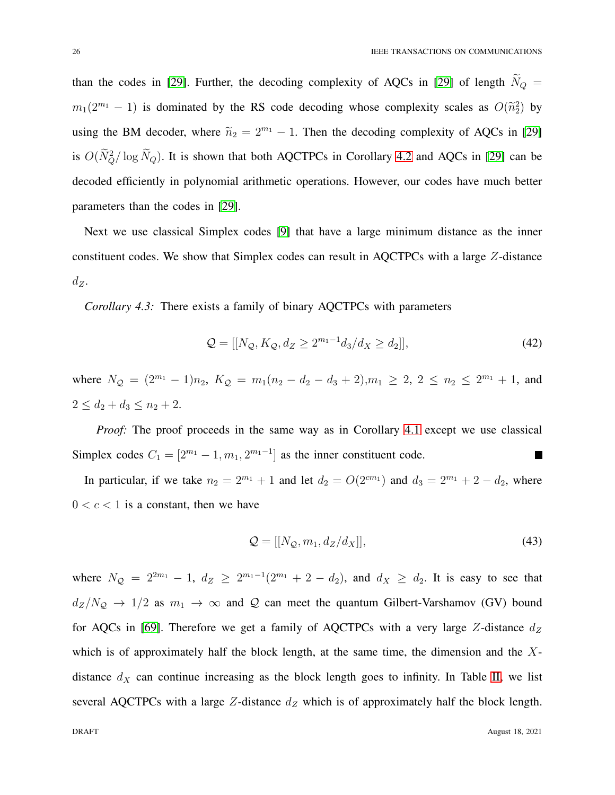than the codes in [\[29\]](#page-33-8). Further, the decoding complexity of AQCs in [\[29\]](#page-33-8) of length  $\widetilde{N}_Q$  =  $m_1(2^{m_1}-1)$  is dominated by the RS code decoding whose complexity scales as  $O(\tilde{n}_2^2)$  by using the BM decoder, where  $\tilde{n}_2 = 2^{m_1} - 1$ . Then the decoding complexity of AQCs in [\[29\]](#page-33-8) is  $O(N_Q^2/\log N_Q)$ . It is shown that both AQCTPCs in Corollary [4.2](#page-24-0) and AQCs in [\[29\]](#page-33-8) can be decoded efficiently in polynomial arithmetic operations. However, our codes have much better parameters than the codes in [\[29\]](#page-33-8).

Next we use classical Simplex codes [\[9\]](#page-32-6) that have a large minimum distance as the inner constituent codes. We show that Simplex codes can result in AQCTPCs with a large Z-distance  $d_Z$ .

<span id="page-25-0"></span>*Corollary 4.3:* There exists a family of binary AQCTPCs with parameters

$$
Q = [[N_{Q}, K_{Q}, d_{Z} \ge 2^{m_{1}-1}d_{3}/d_{X} \ge d_{2}]], \qquad (42)
$$

where  $N_Q = (2^{m_1} - 1)n_2$ ,  $K_Q = m_1(n_2 - d_2 - d_3 + 2), m_1 \ge 2$ ,  $2 \le n_2 \le 2^{m_1} + 1$ , and  $2 \le d_2 + d_3 \le n_2 + 2.$ 

*Proof:* The proof proceeds in the same way as in Corollary [4.1](#page-21-1) except we use classical Simplex codes  $C_1 = [2^{m_1} - 1, m_1, 2^{m_1-1}]$  as the inner constituent code. П

In particular, if we take  $n_2 = 2^{m_1} + 1$  and let  $d_2 = O(2^{cm_1})$  and  $d_3 = 2^{m_1} + 2 - d_2$ , where  $0 < c < 1$  is a constant, then we have

$$
\mathcal{Q} = [[N_{\mathcal{Q}}, m_1, d_Z/d_X]], \tag{43}
$$

where  $N_Q = 2^{2m_1} - 1$ ,  $d_Z \ge 2^{m_1-1}(2^{m_1} + 2 - d_2)$ , and  $d_X \ge d_2$ . It is easy to see that  $d_Z/N_Q \rightarrow 1/2$  as  $m_1 \rightarrow \infty$  and Q can meet the quantum Gilbert-Varshamov (GV) bound for AQCs in [\[69\]](#page-35-13). Therefore we get a family of AQCTPCs with a very large Z-distance  $d_Z$ which is of approximately half the block length, at the same time, the dimension and the  $X$ distance  $d_X$  can continue increasing as the block length goes to infinity. In Table [II,](#page-26-0) we list several AQCTPCs with a large Z-distance  $d_Z$  which is of approximately half the block length.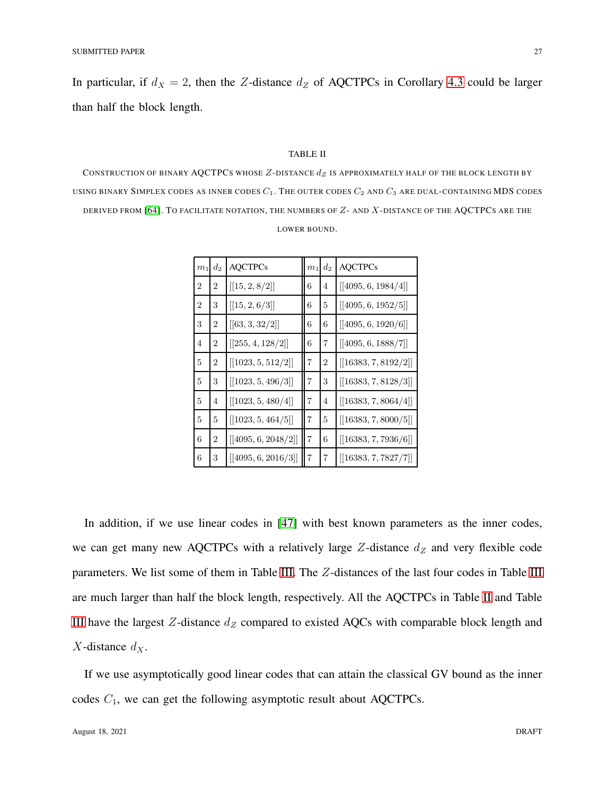In particular, if  $d_X = 2$ , then the Z-distance  $d_Z$  of AQCTPCs in Corollary [4.3](#page-25-0) could be larger than half the block length.

## TABLE II

<span id="page-26-0"></span>CONSTRUCTION OF BINARY AQCTPCS WHOSE  $Z$ -DISTANCE  $d_Z$  is approximately half of the block length by USING BINARY SIMPLEX CODES AS INNER CODES  $C_1$ . The outer codes  $C_2$  and  $C_3$  are dual-containing MDS codes DERIVED FROM [\[64\]](#page-35-7). TO FACILITATE NOTATION, THE NUMBERS OF Z- AND X-DISTANCE OF THE AQCTPCS ARE THE LOWER BOUND.

| m <sub>1</sub> | $d_2$          | <b>AQCTPCs</b>      | m <sub>1</sub> | $d_2$ | <b>AQCTPCs</b>       |
|----------------|----------------|---------------------|----------------|-------|----------------------|
| 2              | 2              | [[15, 2, 8/2]]      | 6              | 4     | [[4095, 6, 1984/4]]  |
| $\overline{2}$ | 3              | [[15, 2, 6/3]]      | 6              | 5     | [[4095, 6, 1952/5]]  |
| 3              | 2              | [[63, 3, 32/2]]     | 6              | 6     | [[4095, 6, 1920/6]]  |
| 4              | $\overline{2}$ | [[255, 4, 128/2]]   | 6              | 7     | [[4095, 6, 1888/7]]  |
| 5              | 2              | [[1023, 5, 512/2]]  | $\overline{7}$ | 2     | [[16383, 7, 8192/2]] |
| 5              | 3              | [[1023, 5, 496/3]]  | $\overline{7}$ | 3     | [[16383, 7, 8128/3]] |
| 5              | 4              | [[1023, 5, 480/4]]  | $\overline{7}$ | 4     | [[16383, 7, 8064/4]] |
| 5              | 5              | [[1023, 5, 464/5]]  | $\overline{7}$ | 5     | [[16383, 7, 8000/5]] |
| 6              | $\overline{2}$ | [[4095, 6, 2048/2]] | $\overline{7}$ | 6     | [[16383, 7, 7936/6]] |
| 6              | 3              | [[4095, 6, 2016/3]] | $\overline{7}$ | 7     | [[16383, 7, 7827/7]] |

In addition, if we use linear codes in [\[47\]](#page-34-10) with best known parameters as the inner codes, we can get many new AQCTPCs with a relatively large  $Z$ -distance  $d_Z$  and very flexible code parameters. We list some of them in Table [III.](#page-27-0) The Z-distances of the last four codes in Table [III](#page-27-0) are much larger than half the block length, respectively. All the AQCTPCs in Table [II](#page-26-0) and Table [III](#page-27-0) have the largest  $Z$ -distance  $d_Z$  compared to existed AQCs with comparable block length and  $X$ -distance  $d_X$ .

If we use asymptotically good linear codes that can attain the classical GV bound as the inner codes  $C_1$ , we can get the following asymptotic result about AQCTPCs.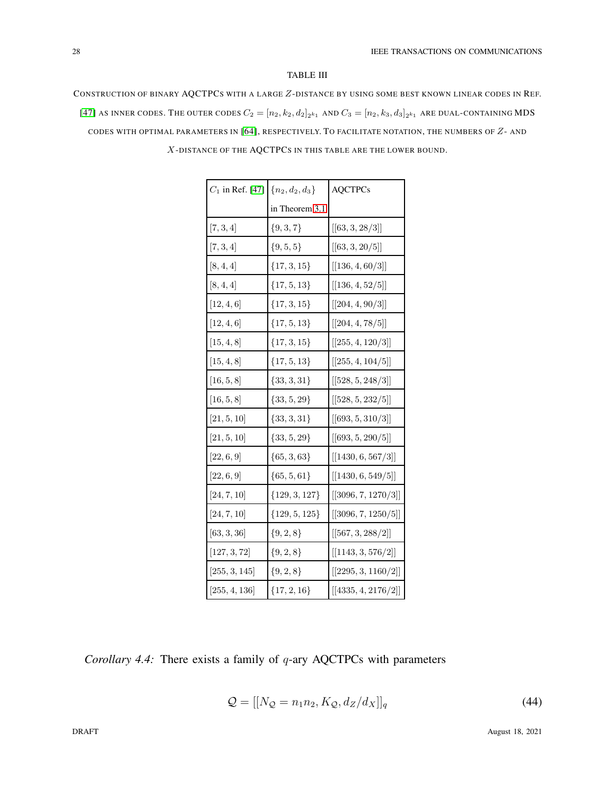## TABLE III

<span id="page-27-0"></span>CONSTRUCTION OF BINARY AQCTPCS WITH A LARGE Z-DISTANCE BY USING SOME BEST KNOWN LINEAR CODES IN REF. [\[47\]](#page-34-10) AS INNER CODES. THE OUTER CODES  $C_2=[n_2,k_2,d_2]_{2^{k_1}}$  and  $C_3=[n_2,k_3,d_3]_{2^{k_1}}$  are dual-containing MDS CODES WITH OPTIMAL PARAMETERS IN [\[64\]](#page-35-7), RESPECTIVELY. TO FACILITATE NOTATION, THE NUMBERS OF Z- AND X-DISTANCE OF THE AQCTPCS IN THIS TABLE ARE THE LOWER BOUND.

| $C_1$ in Ref. [47] $\{n_2, d_2, d_3\}$ |                   | <b>AQCTPCs</b>                              |  |
|----------------------------------------|-------------------|---------------------------------------------|--|
|                                        | in Theorem 3.1    |                                             |  |
| [7, 3, 4]                              | $\{9, 3, 7\}$     | [[63, 3, 28/3]]                             |  |
| [7, 3, 4]                              | $\{9, 5, 5\}$     | [[63, 3, 20/5]]                             |  |
| [8, 4, 4]                              | $\{17, 3, 15\}$   | $\left[[136,4,60/3]\right]$                 |  |
| [8, 4, 4]                              | $\{17, 5, 13\}$   | [[136, 4, 52/5]]                            |  |
| [12, 4, 6]                             | $\{17, 3, 15\}$   | [[204, 4, 90/3]]                            |  |
| [12, 4, 6]                             | $\{17, 5, 13\}$   | [[204, 4, 78/5]]                            |  |
| [15, 4, 8]                             | $\{17, 3, 15\}$   | $[[255, 4, 120/3]]$                         |  |
| [15, 4, 8]                             | $\{17, 5, 13\}$   | [[255, 4, 104/5]]                           |  |
| [16, 5, 8]                             | $\{33, 3, 31\}$   | [[528, 5, 248/3]]                           |  |
| [16, 5, 8]                             | $\{33, 5, 29\}$   | $[[528, 5, 232/5]]$                         |  |
| [21, 5, 10]                            | $\{33, 3, 31\}$   | [[693, 5, 310/3]]                           |  |
| [21, 5, 10]                            | $\{33, 5, 29\}$   | [[693, 5, 290/5]]                           |  |
| [22, 6, 9]                             | $\{65, 3, 63\}$   | $\vert \vert 1430, 6, 567/3 \vert \vert$    |  |
| [22, 6, 9]                             | $\{65, 5, 61\}$   | [[1430, 6, 549/5]]                          |  |
| [24, 7, 10]                            | $\{129, 3, 127\}$ | [[3096, 7, 1270/3]]                         |  |
| $\left[24, 7, 10\right]$               | $\{129, 5, 125\}$ | $\left[\left[3096, 7, 1250/5\right]\right]$ |  |
| [63, 3, 36]                            | $\{9, 2, 8\}$     | [[567, 3, 288/2]]                           |  |
| [127, 3, 72]                           | $\{9, 2, 8\}$     | $\left[\left[1143,3,576/2\right]\right]$    |  |
| [255, 3, 145]                          | $\{9, 2, 8\}$     | [[2295, 3, 1160/2]]                         |  |
| [255, 4, 136]                          | $\{17, 2, 16\}$   | [[4335, 4, 2176/2]]                         |  |

*Corollary 4.4:* There exists a family of q-ary AQCTPCs with parameters

$$
\mathcal{Q} = [[N_{\mathcal{Q}} = n_1 n_2, K_{\mathcal{Q}}, d_Z/d_X]]_q \tag{44}
$$

**DRAFT** August 18, 2021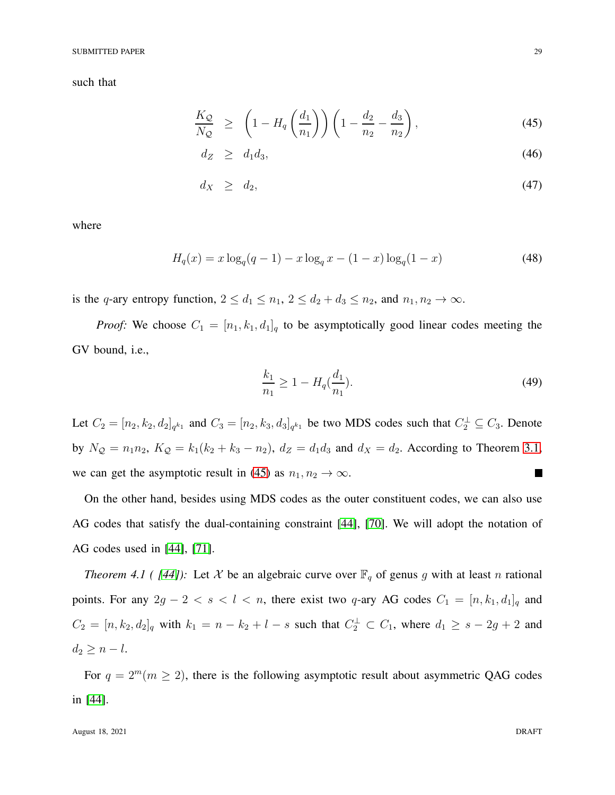#### SUBMITTED PAPER 29

such that

<span id="page-28-0"></span>
$$
\frac{K_{\mathcal{Q}}}{N_{\mathcal{Q}}} \ge \left(1 - H_q\left(\frac{d_1}{n_1}\right)\right) \left(1 - \frac{d_2}{n_2} - \frac{d_3}{n_2}\right),\tag{45}
$$

$$
d_Z \geq d_1 d_3,\tag{46}
$$

$$
d_X \geq d_2,\tag{47}
$$

where

$$
H_q(x) = x \log_q(q-1) - x \log_q x - (1-x) \log_q(1-x)
$$
\n(48)

is the q-ary entropy function,  $2 \le d_1 \le n_1$ ,  $2 \le d_2 + d_3 \le n_2$ , and  $n_1, n_2 \to \infty$ .

*Proof:* We choose  $C_1 = [n_1, k_1, d_1]_q$  to be asymptotically good linear codes meeting the GV bound, i.e.,

$$
\frac{k_1}{n_1} \ge 1 - H_q(\frac{d_1}{n_1}).\tag{49}
$$

Let  $C_2 = [n_2, k_2, d_2]_{q^{k_1}}$  and  $C_3 = [n_2, k_3, d_3]_{q^{k_1}}$  be two MDS codes such that  $C_2^{\perp} \subseteq C_3$ . Denote by  $N_Q = n_1 n_2$ ,  $K_Q = k_1 (k_2 + k_3 - n_2)$ ,  $d_Z = d_1 d_3$  and  $d_X = d_2$ . According to Theorem [3.1,](#page-12-0) we can get the asymptotic result in [\(45\)](#page-28-0) as  $n_1, n_2 \rightarrow \infty$ . П

<span id="page-28-2"></span>On the other hand, besides using MDS codes as the outer constituent codes, we can also use AG codes that satisfy the dual-containing constraint [\[44\]](#page-34-7), [\[70\]](#page-35-14). We will adopt the notation of AG codes used in [\[44\]](#page-34-7), [\[71\]](#page-35-15).

*Theorem 4.1 ( [\[44\]](#page-34-7)):* Let X be an algebraic curve over  $\mathbb{F}_q$  of genus g with at least n rational points. For any  $2g - 2 < s < l < n$ , there exist two q-ary AG codes  $C_1 = [n, k_1, d_1]_q$  and  $C_2 = [n, k_2, d_2]_q$  with  $k_1 = n - k_2 + l - s$  such that  $C_2^{\perp} \subset C_1$ , where  $d_1 \geq s - 2g + 2$  and  $d_2 \geq n-l.$ 

<span id="page-28-1"></span>For  $q = 2^m (m \ge 2)$ , there is the following asymptotic result about asymmetric QAG codes in [\[44\]](#page-34-7).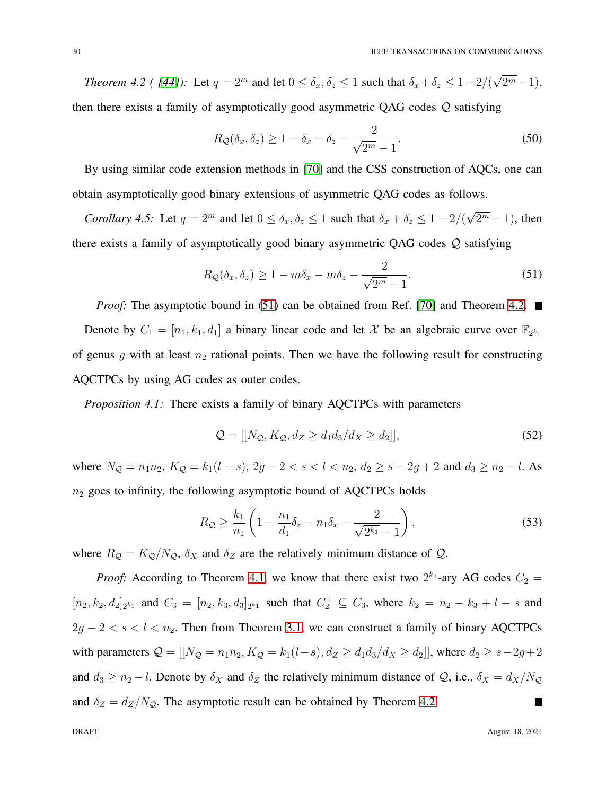*Theorem 4.2 ( [\[44\]](#page-34-7)):* Let  $q = 2^m$  and let  $0 \le \delta_x, \delta_z \le 1$  such that  $\delta_x + \delta_z \le 1 - 2/(\sqrt{2^m} - 1)$ , then there exists a family of asymptotically good asymmetric QAG codes Q satisfying

$$
R_{\mathcal{Q}}(\delta_x, \delta_z) \ge 1 - \delta_x - \delta_z - \frac{2}{\sqrt{2^m - 1}}.
$$
\n(50)

By using similar code extension methods in [\[70\]](#page-35-14) and the CSS construction of AQCs, one can obtain asymptotically good binary extensions of asymmetric QAG codes as follows.

*Corollary 4.5:* Let  $q = 2^m$  and let  $0 \le \delta_x, \delta_z \le 1$  such that  $\delta_x + \delta_z \le 1 - 2/(\sqrt{2^m} - 1)$ , then there exists a family of asymptotically good binary asymmetric QAG codes Q satisfying

<span id="page-29-0"></span>
$$
R_{\mathcal{Q}}(\delta_x, \delta_z) \ge 1 - m\delta_x - m\delta_z - \frac{2}{\sqrt{2^m - 1}}.
$$
\n(51)

*Proof:* The asymptotic bound in [\(51\)](#page-29-0) can be obtained from Ref. [\[70\]](#page-35-14) and Theorem [4.2.](#page-28-1)  $\blacksquare$ Denote by  $C_1 = [n_1, k_1, d_1]$  a binary linear code and let X be an algebraic curve over  $\mathbb{F}_{2^{k_1}}$ of genus  $g$  with at least  $n_2$  rational points. Then we have the following result for constructing AQCTPCs by using AG codes as outer codes.

*Proposition 4.1:* There exists a family of binary AQCTPCs with parameters

<span id="page-29-1"></span>
$$
\mathcal{Q} = [[N_{\mathcal{Q}}, K_{\mathcal{Q}}, d_Z \ge d_1 d_3 / d_X \ge d_2]], \tag{52}
$$

where  $N_Q = n_1 n_2$ ,  $K_Q = k_1 (l - s)$ ,  $2g - 2 < s < l < n_2$ ,  $d_2 \ge s - 2g + 2$  and  $d_3 \ge n_2 - l$ . As  $n_2$  goes to infinity, the following asymptotic bound of AQCTPCs holds

$$
R_{\mathcal{Q}} \ge \frac{k_1}{n_1} \left( 1 - \frac{n_1}{d_1} \delta_z - n_1 \delta_x - \frac{2}{\sqrt{2^{k_1}} - 1} \right),\tag{53}
$$

where  $R_Q = K_Q/N_Q$ ,  $\delta_X$  and  $\delta_Z$  are the relatively minimum distance of  $Q$ .

*Proof:* According to Theorem [4.1,](#page-28-2) we know that there exist two  $2^{k_1}$ -ary AG codes  $C_2$  =  $[n_2, k_2, d_2]_{2^{k_1}}$  and  $C_3 = [n_2, k_3, d_3]_{2^{k_1}}$  such that  $C_2^{\perp} \subseteq C_3$ , where  $k_2 = n_2 - k_3 + l - s$  and  $2g - 2 < s < l < n<sub>2</sub>$ . Then from Theorem [3.1,](#page-12-0) we can construct a family of binary AQCTPCs with parameters  $Q = [[N_Q = n_1 n_2, K_Q = k_1 (l-s), d_Z \ge d_1 d_3 / d_X \ge d_2]]$ , where  $d_2 \ge s - 2g + 2$ and  $d_3 \ge n_2 - l$ . Denote by  $\delta_X$  and  $\delta_Z$  the relatively minimum distance of  $\mathcal{Q}$ , i.e.,  $\delta_X = d_X/N_{\mathcal{Q}}$ and  $\delta_Z = d_Z/N_Q$ . The asymptotic result can be obtained by Theorem [4.2.](#page-28-1)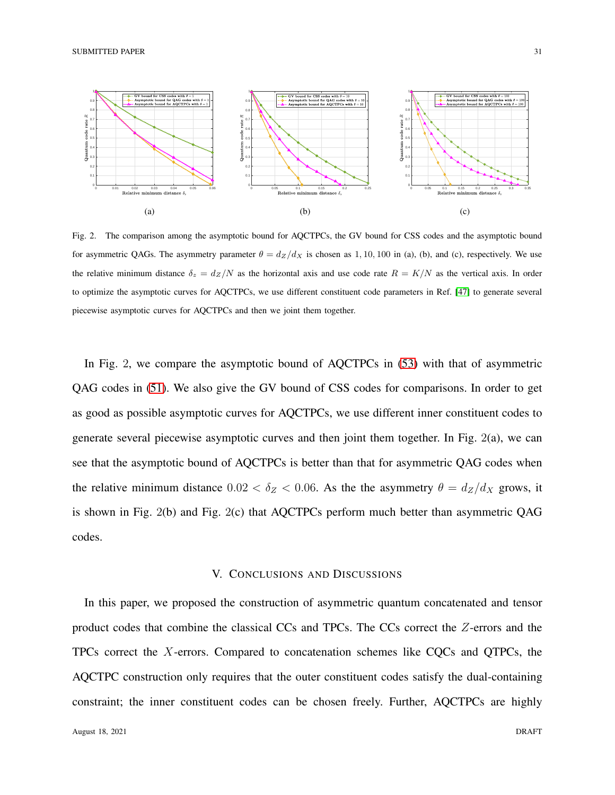

Fig. 2. The comparison among the asymptotic bound for AQCTPCs, the GV bound for CSS codes and the asymptotic bound for asymmetric QAGs. The asymmetry parameter  $\theta = d_Z/d_X$  is chosen as 1, 10, 100 in (a), (b), and (c), respectively. We use the relative minimum distance  $\delta_z = d_Z/N$  as the horizontal axis and use code rate  $R = K/N$  as the vertical axis. In order to optimize the asymptotic curves for AQCTPCs, we use different constituent code parameters in Ref. [\[47\]](#page-34-10) to generate several piecewise asymptotic curves for AQCTPCs and then we joint them together.

In Fig. 2, we compare the asymptotic bound of AQCTPCs in [\(53\)](#page-29-1) with that of asymmetric QAG codes in [\(51\)](#page-29-0). We also give the GV bound of CSS codes for comparisons. In order to get as good as possible asymptotic curves for AQCTPCs, we use different inner constituent codes to generate several piecewise asymptotic curves and then joint them together. In Fig. 2(a), we can see that the asymptotic bound of AQCTPCs is better than that for asymmetric QAG codes when the relative minimum distance  $0.02 < \delta_Z < 0.06$ . As the the asymmetry  $\theta = d_Z/d_X$  grows, it is shown in Fig. 2(b) and Fig. 2(c) that AQCTPCs perform much better than asymmetric QAG codes.

## V. CONCLUSIONS AND DISCUSSIONS

<span id="page-30-0"></span>In this paper, we proposed the construction of asymmetric quantum concatenated and tensor product codes that combine the classical CCs and TPCs. The CCs correct the Z-errors and the TPCs correct the X-errors. Compared to concatenation schemes like CQCs and QTPCs, the AQCTPC construction only requires that the outer constituent codes satisfy the dual-containing constraint; the inner constituent codes can be chosen freely. Further, AQCTPCs are highly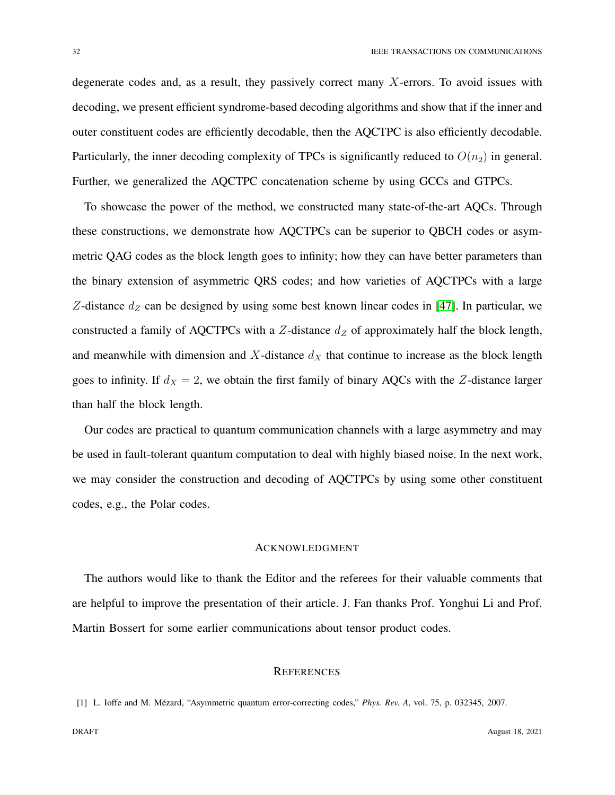degenerate codes and, as a result, they passively correct many  $X$ -errors. To avoid issues with decoding, we present efficient syndrome-based decoding algorithms and show that if the inner and outer constituent codes are efficiently decodable, then the AQCTPC is also efficiently decodable. Particularly, the inner decoding complexity of TPCs is significantly reduced to  $O(n_2)$  in general. Further, we generalized the AQCTPC concatenation scheme by using GCCs and GTPCs.

To showcase the power of the method, we constructed many state-of-the-art AQCs. Through these constructions, we demonstrate how AQCTPCs can be superior to QBCH codes or asymmetric QAG codes as the block length goes to infinity; how they can have better parameters than the binary extension of asymmetric QRS codes; and how varieties of AQCTPCs with a large Z-distance  $d_Z$  can be designed by using some best known linear codes in [\[47\]](#page-34-10). In particular, we constructed a family of AQCTPCs with a  $Z$ -distance  $d_Z$  of approximately half the block length, and meanwhile with dimension and X-distance  $d<sub>X</sub>$  that continue to increase as the block length goes to infinity. If  $d_X = 2$ , we obtain the first family of binary AQCs with the Z-distance larger than half the block length.

Our codes are practical to quantum communication channels with a large asymmetry and may be used in fault-tolerant quantum computation to deal with highly biased noise. In the next work, we may consider the construction and decoding of AQCTPCs by using some other constituent codes, e.g., the Polar codes.

#### ACKNOWLEDGMENT

The authors would like to thank the Editor and the referees for their valuable comments that are helpful to improve the presentation of their article. J. Fan thanks Prof. Yonghui Li and Prof. Martin Bossert for some earlier communications about tensor product codes.

## **REFERENCES**

<span id="page-31-0"></span><sup>[1]</sup> L. Ioffe and M. M´ezard, "Asymmetric quantum error-correcting codes," *Phys. Rev. A*, vol. 75, p. 032345, 2007.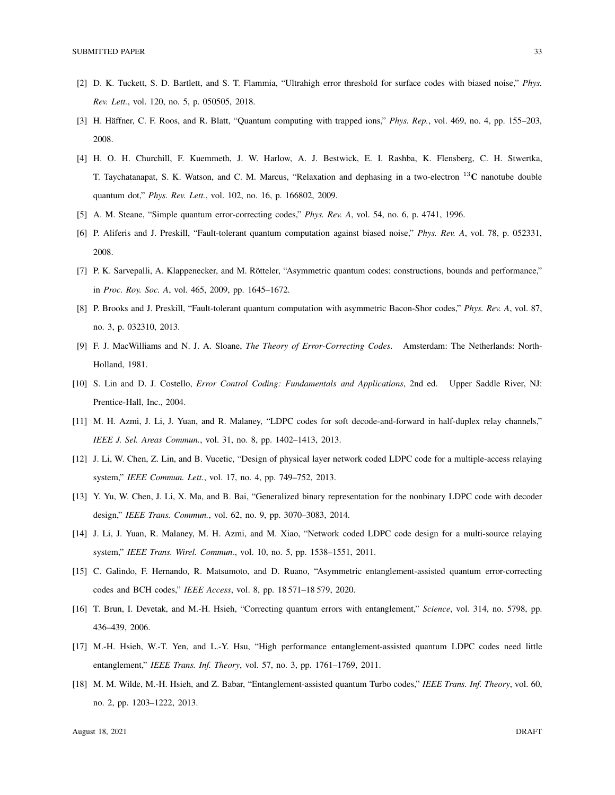- <span id="page-32-1"></span><span id="page-32-0"></span>[2] D. K. Tuckett, S. D. Bartlett, and S. T. Flammia, "Ultrahigh error threshold for surface codes with biased noise," *Phys. Rev. Lett.*, vol. 120, no. 5, p. 050505, 2018.
- <span id="page-32-2"></span>[3] H. Häffner, C. F. Roos, and R. Blatt, "Quantum computing with trapped ions," *Phys. Rep.*, vol. 469, no. 4, pp. 155–203, 2008.
- [4] H. O. H. Churchill, F. Kuemmeth, J. W. Harlow, A. J. Bestwick, E. I. Rashba, K. Flensberg, C. H. Stwertka, T. Taychatanapat, S. K. Watson, and C. M. Marcus, "Relaxation and dephasing in a two-electron  $^{13}$ C nanotube double quantum dot," *Phys. Rev. Lett.*, vol. 102, no. 16, p. 166802, 2009.
- <span id="page-32-4"></span><span id="page-32-3"></span>[5] A. M. Steane, "Simple quantum error-correcting codes," *Phys. Rev. A*, vol. 54, no. 6, p. 4741, 1996.
- <span id="page-32-9"></span>[6] P. Aliferis and J. Preskill, "Fault-tolerant quantum computation against biased noise," *Phys. Rev. A*, vol. 78, p. 052331, 2008.
- <span id="page-32-5"></span>[7] P. K. Sarvepalli, A. Klappenecker, and M. Rötteler, "Asymmetric quantum codes: constructions, bounds and performance," in *Proc. Roy. Soc. A*, vol. 465, 2009, pp. 1645–1672.
- <span id="page-32-6"></span>[8] P. Brooks and J. Preskill, "Fault-tolerant quantum computation with asymmetric Bacon-Shor codes," *Phys. Rev. A*, vol. 87, no. 3, p. 032310, 2013.
- <span id="page-32-7"></span>[9] F. J. MacWilliams and N. J. A. Sloane, *The Theory of Error-Correcting Codes*. Amsterdam: The Netherlands: North-Holland, 1981.
- [10] S. Lin and D. J. Costello, *Error Control Coding: Fundamentals and Applications*, 2nd ed. Upper Saddle River, NJ: Prentice-Hall, Inc., 2004.
- [11] M. H. Azmi, J. Li, J. Yuan, and R. Malaney, "LDPC codes for soft decode-and-forward in half-duplex relay channels," *IEEE J. Sel. Areas Commun.*, vol. 31, no. 8, pp. 1402–1413, 2013.
- [12] J. Li, W. Chen, Z. Lin, and B. Vucetic, "Design of physical layer network coded LDPC code for a multiple-access relaying system," *IEEE Commun. Lett.*, vol. 17, no. 4, pp. 749–752, 2013.
- <span id="page-32-8"></span>[13] Y. Yu, W. Chen, J. Li, X. Ma, and B. Bai, "Generalized binary representation for the nonbinary LDPC code with decoder design," *IEEE Trans. Commun.*, vol. 62, no. 9, pp. 3070–3083, 2014.
- <span id="page-32-10"></span>[14] J. Li, J. Yuan, R. Malaney, M. H. Azmi, and M. Xiao, "Network coded LDPC code design for a multi-source relaying system," *IEEE Trans. Wirel. Commun.*, vol. 10, no. 5, pp. 1538–1551, 2011.
- <span id="page-32-11"></span>[15] C. Galindo, F. Hernando, R. Matsumoto, and D. Ruano, "Asymmetric entanglement-assisted quantum error-correcting codes and BCH codes," *IEEE Access*, vol. 8, pp. 18 571–18 579, 2020.
- [16] T. Brun, I. Devetak, and M.-H. Hsieh, "Correcting quantum errors with entanglement," *Science*, vol. 314, no. 5798, pp. 436–439, 2006.
- [17] M.-H. Hsieh, W.-T. Yen, and L.-Y. Hsu, "High performance entanglement-assisted quantum LDPC codes need little entanglement," *IEEE Trans. Inf. Theory*, vol. 57, no. 3, pp. 1761–1769, 2011.
- [18] M. M. Wilde, M.-H. Hsieh, and Z. Babar, "Entanglement-assisted quantum Turbo codes," *IEEE Trans. Inf. Theory*, vol. 60, no. 2, pp. 1203–1222, 2013.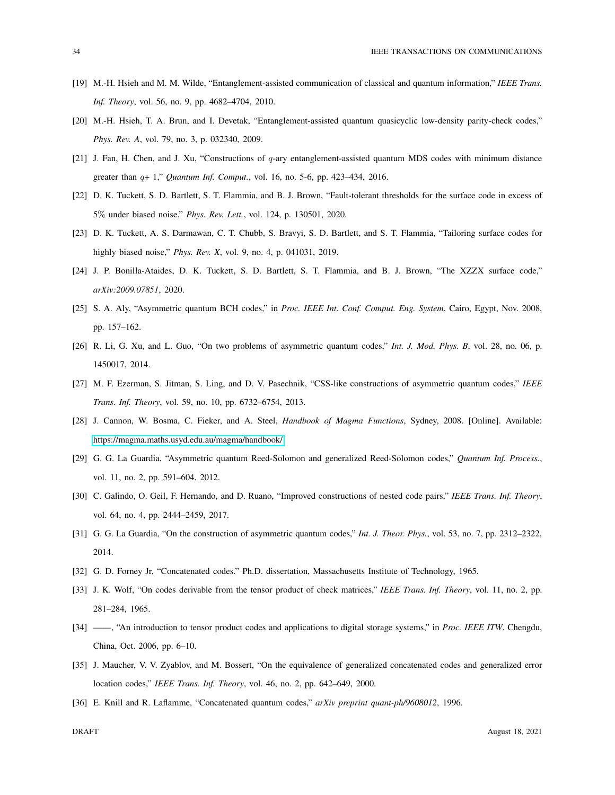- [19] M.-H. Hsieh and M. M. Wilde, "Entanglement-assisted communication of classical and quantum information," *IEEE Trans. Inf. Theory*, vol. 56, no. 9, pp. 4682–4704, 2010.
- <span id="page-33-0"></span>[20] M.-H. Hsieh, T. A. Brun, and I. Devetak, "Entanglement-assisted quantum quasicyclic low-density parity-check codes," *Phys. Rev. A*, vol. 79, no. 3, p. 032340, 2009.
- <span id="page-33-1"></span>[21] J. Fan, H. Chen, and J. Xu, "Constructions of q-ary entanglement-assisted quantum MDS codes with minimum distance greater than q+ 1," *Quantum Inf. Comput.*, vol. 16, no. 5-6, pp. 423–434, 2016.
- <span id="page-33-2"></span>[22] D. K. Tuckett, S. D. Bartlett, S. T. Flammia, and B. J. Brown, "Fault-tolerant thresholds for the surface code in excess of 5% under biased noise," *Phys. Rev. Lett.*, vol. 124, p. 130501, 2020.
- <span id="page-33-3"></span>[23] D. K. Tuckett, A. S. Darmawan, C. T. Chubb, S. Bravyi, S. D. Bartlett, and S. T. Flammia, "Tailoring surface codes for highly biased noise," *Phys. Rev. X*, vol. 9, no. 4, p. 041031, 2019.
- <span id="page-33-4"></span>[24] J. P. Bonilla-Ataides, D. K. Tuckett, S. D. Bartlett, S. T. Flammia, and B. J. Brown, "The XZZX surface code," *arXiv:2009.07851*, 2020.
- <span id="page-33-5"></span>[25] S. A. Aly, "Asymmetric quantum BCH codes," in *Proc. IEEE Int. Conf. Comput. Eng. System*, Cairo, Egypt, Nov. 2008, pp. 157–162.
- <span id="page-33-6"></span>[26] R. Li, G. Xu, and L. Guo, "On two problems of asymmetric quantum codes," *Int. J. Mod. Phys. B*, vol. 28, no. 06, p. 1450017, 2014.
- <span id="page-33-7"></span>[27] M. F. Ezerman, S. Jitman, S. Ling, and D. V. Pasechnik, "CSS-like constructions of asymmetric quantum codes," *IEEE Trans. Inf. Theory*, vol. 59, no. 10, pp. 6732–6754, 2013.
- <span id="page-33-8"></span>[28] J. Cannon, W. Bosma, C. Fieker, and A. Steel, *Handbook of Magma Functions*, Sydney, 2008. [Online]. Available: <https://magma.maths.usyd.edu.au/magma/handbook/>
- [29] G. G. La Guardia, "Asymmetric quantum Reed-Solomon and generalized Reed-Solomon codes," *Quantum Inf. Process.*, vol. 11, no. 2, pp. 591–604, 2012.
- <span id="page-33-9"></span>[30] C. Galindo, O. Geil, F. Hernando, and D. Ruano, "Improved constructions of nested code pairs," *IEEE Trans. Inf. Theory*, vol. 64, no. 4, pp. 2444–2459, 2017.
- <span id="page-33-10"></span>[31] G. G. La Guardia, "On the construction of asymmetric quantum codes," *Int. J. Theor. Phys.*, vol. 53, no. 7, pp. 2312–2322, 2014.
- <span id="page-33-11"></span>[32] G. D. Forney Jr, "Concatenated codes." Ph.D. dissertation, Massachusetts Institute of Technology, 1965.
- <span id="page-33-12"></span>[33] J. K. Wolf, "On codes derivable from the tensor product of check matrices," *IEEE Trans. Inf. Theory*, vol. 11, no. 2, pp. 281–284, 1965.
- <span id="page-33-13"></span>[34] ——, "An introduction to tensor product codes and applications to digital storage systems," in *Proc. IEEE ITW*, Chengdu, China, Oct. 2006, pp. 6–10.
- <span id="page-33-14"></span>[35] J. Maucher, V. V. Zyablov, and M. Bossert, "On the equivalence of generalized concatenated codes and generalized error location codes," *IEEE Trans. Inf. Theory*, vol. 46, no. 2, pp. 642–649, 2000.
- [36] E. Knill and R. Laflamme, "Concatenated quantum codes," *arXiv preprint quant-ph/9608012*, 1996.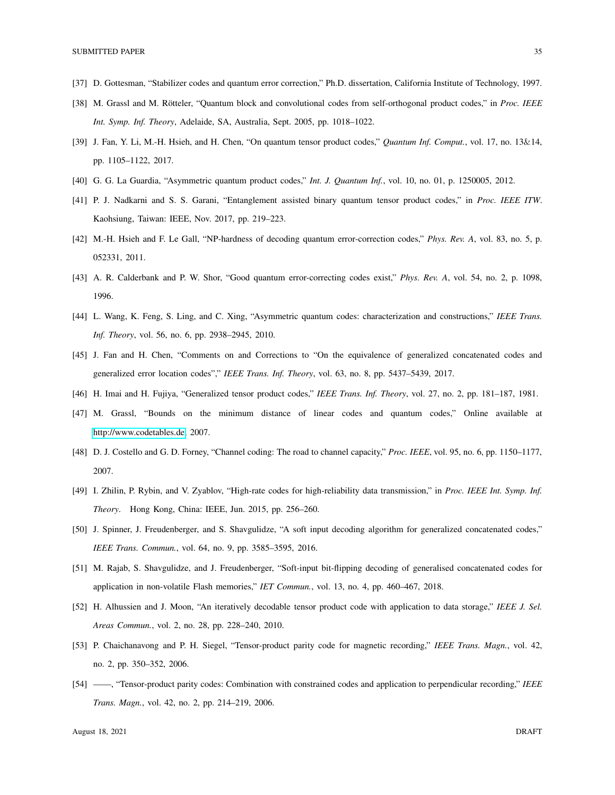- <span id="page-34-1"></span><span id="page-34-0"></span>[37] D. Gottesman, "Stabilizer codes and quantum error correction," Ph.D. dissertation, California Institute of Technology, 1997.
- <span id="page-34-2"></span>[38] M. Grassl and M. Rötteler, "Quantum block and convolutional codes from self-orthogonal product codes," in *Proc. IEEE Int. Symp. Inf. Theory*, Adelaide, SA, Australia, Sept. 2005, pp. 1018–1022.
- <span id="page-34-3"></span>[39] J. Fan, Y. Li, M.-H. Hsieh, and H. Chen, "On quantum tensor product codes," *Quantum Inf. Comput.*, vol. 17, no. 13&14, pp. 1105–1122, 2017.
- <span id="page-34-4"></span>[40] G. G. La Guardia, "Asymmetric quantum product codes," *Int. J. Quantum Inf.*, vol. 10, no. 01, p. 1250005, 2012.
- <span id="page-34-5"></span>[41] P. J. Nadkarni and S. S. Garani, "Entanglement assisted binary quantum tensor product codes," in *Proc. IEEE ITW*. Kaohsiung, Taiwan: IEEE, Nov. 2017, pp. 219–223.
- <span id="page-34-6"></span>[42] M.-H. Hsieh and F. Le Gall, "NP-hardness of decoding quantum error-correction codes," *Phys. Rev. A*, vol. 83, no. 5, p. 052331, 2011.
- <span id="page-34-7"></span>[43] A. R. Calderbank and P. W. Shor, "Good quantum error-correcting codes exist," *Phys. Rev. A*, vol. 54, no. 2, p. 1098, 1996.
- <span id="page-34-8"></span>[44] L. Wang, K. Feng, S. Ling, and C. Xing, "Asymmetric quantum codes: characterization and constructions," *IEEE Trans. Inf. Theory*, vol. 56, no. 6, pp. 2938–2945, 2010.
- <span id="page-34-9"></span>[45] J. Fan and H. Chen, "Comments on and Corrections to "On the equivalence of generalized concatenated codes and generalized error location codes"," *IEEE Trans. Inf. Theory*, vol. 63, no. 8, pp. 5437–5439, 2017.
- <span id="page-34-10"></span>[46] H. Imai and H. Fujiya, "Generalized tensor product codes," *IEEE Trans. Inf. Theory*, vol. 27, no. 2, pp. 181–187, 1981.
- <span id="page-34-11"></span>[47] M. Grassl, "Bounds on the minimum distance of linear codes and quantum codes," Online available at [http://www.codetables.de,](http://www.codetables.de) 2007.
- <span id="page-34-12"></span>[48] D. J. Costello and G. D. Forney, "Channel coding: The road to channel capacity," *Proc. IEEE*, vol. 95, no. 6, pp. 1150–1177, 2007.
- <span id="page-34-13"></span>[49] I. Zhilin, P. Rybin, and V. Zyablov, "High-rate codes for high-reliability data transmission," in *Proc. IEEE Int. Symp. Inf. Theory*. Hong Kong, China: IEEE, Jun. 2015, pp. 256–260.
- <span id="page-34-14"></span>[50] J. Spinner, J. Freudenberger, and S. Shavgulidze, "A soft input decoding algorithm for generalized concatenated codes," *IEEE Trans. Commun.*, vol. 64, no. 9, pp. 3585–3595, 2016.
- <span id="page-34-15"></span>[51] M. Rajab, S. Shavgulidze, and J. Freudenberger, "Soft-input bit-flipping decoding of generalised concatenated codes for application in non-volatile Flash memories," *IET Commun.*, vol. 13, no. 4, pp. 460–467, 2018.
- [52] H. Alhussien and J. Moon, "An iteratively decodable tensor product code with application to data storage," *IEEE J. Sel. Areas Commun.*, vol. 2, no. 28, pp. 228–240, 2010.
- [53] P. Chaichanavong and P. H. Siegel, "Tensor-product parity code for magnetic recording," *IEEE Trans. Magn.*, vol. 42, no. 2, pp. 350–352, 2006.
- [54] ——, "Tensor-product parity codes: Combination with constrained codes and application to perpendicular recording," *IEEE Trans. Magn.*, vol. 42, no. 2, pp. 214–219, 2006.